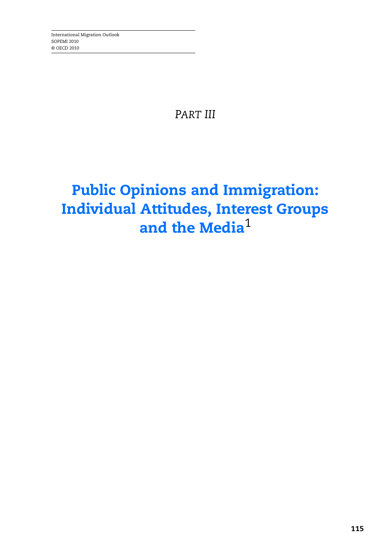*PART III* 

# **Public Opinions and Immigration: Individual Attitudes, Interest Groups and the Media**<sup>1</sup>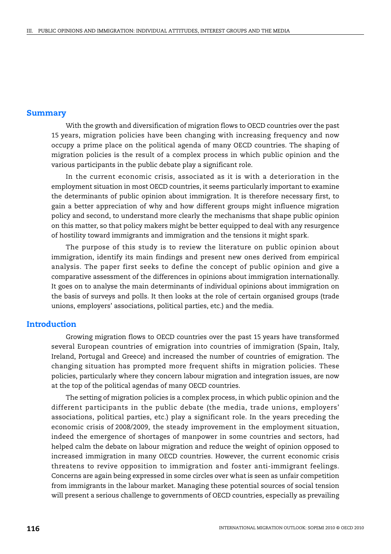#### **Summary**

With the growth and diversification of migration flows to OECD countries over the past 15 years, migration policies have been changing with increasing frequency and now occupy a prime place on the political agenda of many OECD countries. The shaping of migration policies is the result of a complex process in which public opinion and the various participants in the public debate play a significant role.

In the current economic crisis, associated as it is with a deterioration in the employment situation in most OECD countries, it seems particularly important to examine the determinants of public opinion about immigration. It is therefore necessary first, to gain a better appreciation of why and how different groups might influence migration policy and second, to understand more clearly the mechanisms that shape public opinion on this matter, so that policy makers might be better equipped to deal with any resurgence of hostility toward immigrants and immigration and the tensions it might spark.

The purpose of this study is to review the literature on public opinion about immigration, identify its main findings and present new ones derived from empirical analysis. The paper first seeks to define the concept of public opinion and give a comparative assessment of the differences in opinions about immigration internationally. It goes on to analyse the main determinants of individual opinions about immigration on the basis of surveys and polls. It then looks at the role of certain organised groups (trade unions, employers' associations, political parties, etc.) and the media.

# **Introduction**

Growing migration flows to OECD countries over the past 15 years have transformed several European countries of emigration into countries of immigration (Spain, Italy, Ireland, Portugal and Greece) and increased the number of countries of emigration. The changing situation has prompted more frequent shifts in migration policies. These policies, particularly where they concern labour migration and integration issues, are now at the top of the political agendas of many OECD countries.

The setting of migration policies is a complex process, in which public opinion and the different participants in the public debate (the media, trade unions, employers' associations, political parties, etc.) play a significant role. In the years preceding the economic crisis of 2008/2009, the steady improvement in the employment situation, indeed the emergence of shortages of manpower in some countries and sectors, had helped calm the debate on labour migration and reduce the weight of opinion opposed to increased immigration in many OECD countries. However, the current economic crisis threatens to revive opposition to immigration and foster anti-immigrant feelings. Concerns are again being expressed in some circles over what is seen as unfair competition from immigrants in the labour market. Managing these potential sources of social tension will present a serious challenge to governments of OECD countries, especially as prevailing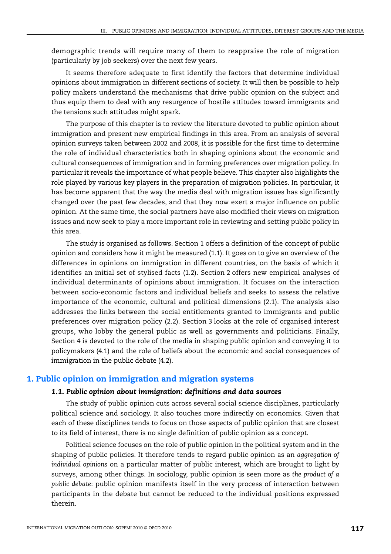demographic trends will require many of them to reappraise the role of migration (particularly by job seekers) over the next few years.

It seems therefore adequate to first identify the factors that determine individual opinions about immigration in different sections of society. It will then be possible to help policy makers understand the mechanisms that drive public opinion on the subject and thus equip them to deal with any resurgence of hostile attitudes toward immigrants and the tensions such attitudes might spark.

The purpose of this chapter is to review the literature devoted to public opinion about immigration and present new empirical findings in this area. From an analysis of several opinion surveys taken between 2002 and 2008, it is possible for the first time to determine the role of individual characteristics both in shaping opinions about the economic and cultural consequences of immigration and in forming preferences over migration policy. In particular it reveals the importance of what people believe. This chapter also highlights the role played by various key players in the preparation of migration policies. In particular, it has become apparent that the way the media deal with migration issues has significantly changed over the past few decades, and that they now exert a major influence on public opinion. At the same time, the social partners have also modified their views on migration issues and now seek to play a more important role in reviewing and setting public policy in this area.

The study is organised as follows. Section 1 offers a definition of the concept of public opinion and considers how it might be measured (1.1). It goes on to give an overview of the differences in opinions on immigration in different countries, on the basis of which it identifies an initial set of stylised facts (1.2). Section 2 offers new empirical analyses of individual determinants of opinions about immigration. It focuses on the interaction between socio-economic factors and individual beliefs and seeks to assess the relative importance of the economic, cultural and political dimensions (2.1). The analysis also addresses the links between the social entitlements granted to immigrants and public preferences over migration policy (2.2). Section 3 looks at the role of organised interest groups, who lobby the general public as well as governments and politicians. Finally, Section 4 is devoted to the role of the media in shaping public opinion and conveying it to policymakers (4.1) and the role of beliefs about the economic and social consequences of immigration in the public debate (4.2).

#### **1. Public opinion on immigration and migration systems**

#### *1.1. Public opinion about immigration: definitions and data sources*

The study of public opinion cuts across several social science disciplines, particularly political science and sociology. It also touches more indirectly on economics. Given that each of these disciplines tends to focus on those aspects of public opinion that are closest to its field of interest, there is no single definition of public opinion as a concept.

Political science focuses on the role of public opinion in the political system and in the shaping of public policies. It therefore tends to regard public opinion as an *aggregation of individual opinions* on a particular matter of public interest, which are brought to light by surveys, among other things. In sociology, public opinion is seen more as *the product of a public debate*: public opinion manifests itself in the very process of interaction between participants in the debate but cannot be reduced to the individual positions expressed therein.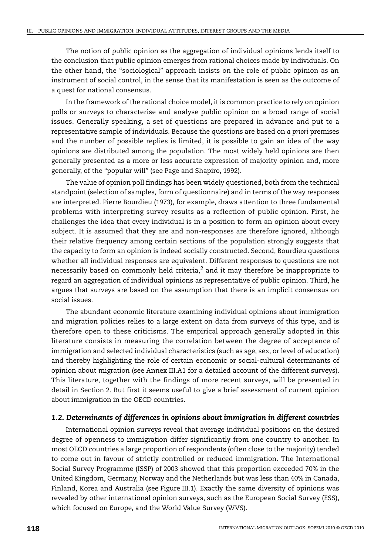The notion of public opinion as the aggregation of individual opinions lends itself to the conclusion that public opinion emerges from rational choices made by individuals. On the other hand, the "sociological" approach insists on the role of public opinion as an instrument of social control, in the sense that its manifestation is seen as the outcome of a quest for national consensus.

In the framework of the rational choice model, it is common practice to rely on opinion polls or surveys to characterise and analyse public opinion on a broad range of social issues. Generally speaking, a set of questions are prepared in advance and put to a representative sample of individuals. Because the questions are based on *a priori* premises and the number of possible replies is limited, it is possible to gain an idea of the way opinions are distributed among the population. The most widely held opinions are then generally presented as a more or less accurate expression of majority opinion and, more generally, of the "popular will" (see Page and Shapiro, 1992).

The value of opinion poll findings has been widely questioned, both from the technical standpoint (selection of samples, form of questionnaire) and in terms of the way responses are interpreted. Pierre Bourdieu (1973), for example, draws attention to three fundamental problems with interpreting survey results as a reflection of public opinion. First, he challenges the idea that every individual is in a position to form an opinion about every subject. It is assumed that they are and non-responses are therefore ignored, although their relative frequency among certain sections of the population strongly suggests that the capacity to form an opinion is indeed socially constructed. Second, Bourdieu questions whether all individual responses are equivalent. Different responses to questions are not necessarily based on commonly held criteria, $<sup>2</sup>$  and it may therefore be inappropriate to</sup> regard an aggregation of individual opinions as representative of public opinion. Third, he argues that surveys are based on the assumption that there is an implicit consensus on social issues.

The abundant economic literature examining individual opinions about immigration and migration policies relies to a large extent on data from surveys of this type, and is therefore open to these criticisms. The empirical approach generally adopted in this literature consists in measuring the correlation between the degree of acceptance of immigration and selected individual characteristics (such as age, sex, or level of education) and thereby highlighting the role of certain economic or social-cultural determinants of opinion about migration (see Annex III.A1 for a detailed account of the different surveys). This literature, together with the findings of more recent surveys, will be presented in detail in Section 2. But first it seems useful to give a brief assessment of current opinion about immigration in the OECD countries.

#### *1.2. Determinants of differences in opinions about immigration in different countries*

International opinion surveys reveal that average individual positions on the desired degree of openness to immigration differ significantly from one country to another. In most OECD countries a large proportion of respondents (often close to the majority) tended to come out in favour of strictly controlled or reduced immigration. The International Social Survey Programme (ISSP) of 2003 showed that this proportion exceeded 70% in the United Kingdom, Germany, Norway and the Netherlands but was less than 40% in Canada, Finland, Korea and Australia (see Figure III.1). Exactly the same diversity of opinions was revealed by other international opinion surveys, such as the European Social Survey (ESS), which focused on Europe, and the World Value Survey (WVS).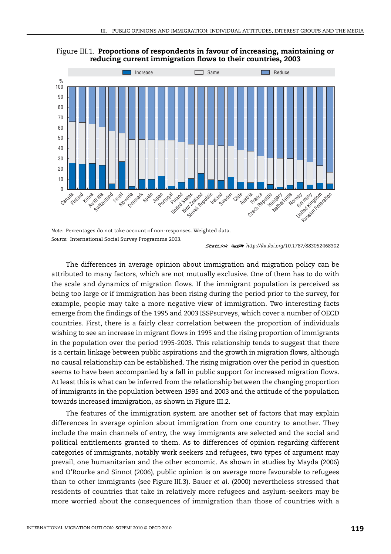



*Note:* Percentages do not take account of non-responses. Weighted data*. Source:* International Social Survey Programme 2003.

1 2 *<http://dx.doi.org/10.1787/883052468302>*

The differences in average opinion about immigration and migration policy can be attributed to many factors, which are not mutually exclusive. One of them has to do with the scale and dynamics of migration flows. If the immigrant population is perceived as being too large or if immigration has been rising during the period prior to the survey, for example, people may take a more negative view of immigration. Two interesting facts emerge from the findings of the 1995 and 2003 ISSPsurveys, which cover a number of OECD countries. First, there is a fairly clear correlation between the proportion of individuals wishing to see an increase in migrant flows in 1995 and the rising proportion of immigrants in the population over the period 1995-2003. This relationship tends to suggest that there is a certain linkage between public aspirations and the growth in migration flows, although no causal relationship can be established. The rising migration over the period in question seems to have been accompanied by a fall in public support for increased migration flows. At least this is what can be inferred from the relationship between the changing proportion of immigrants in the population between 1995 and 2003 and the attitude of the population towards increased immigration, as shown in Figure III.2.

The features of the immigration system are another set of factors that may explain differences in average opinion about immigration from one country to another. They include the main channels of entry, the way immigrants are selected and the social and political entitlements granted to them. As to differences of opinion regarding different categories of immigrants, notably work seekers and refugees, two types of argument may prevail, one humanitarian and the other economic. As shown in studies by Mayda (2006) and O'Rourke and Sinnot (2006), public opinion is on average more favourable to refugees than to other immigrants (see Figure III.3). Bauer *et al*. (2000) nevertheless stressed that residents of countries that take in relatively more refugees and asylum-seekers may be more worried about the consequences of immigration than those of countries with a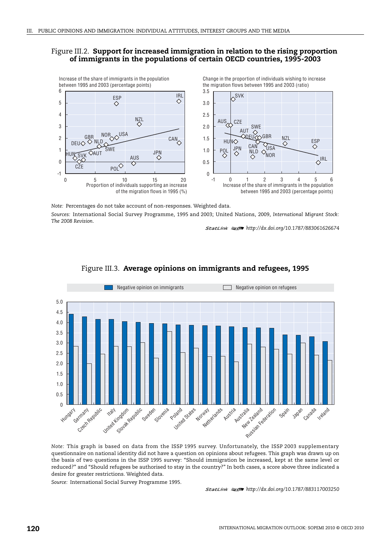#### Figure III.2. **Support for increased immigration in relation to the rising proportion of immigrants in the populations of certain OECD countries, 1995-2003**



*Note:* Percentages do not take account of non-responses. Weighted data*. Sources:* International Social Survey Programme, 1995 and 2003; United Nations, 2009, *International Migrant Stock: The 2008 Revision*.

1 2 *<http://dx.doi.org/10.1787/883061626674>*



#### Figure III.3. **Average opinions on immigrants and refugees, 1995**

*Note:* This graph is based on data from the ISSP 1995 survey. Unfortunately, the ISSP 2003 supplementary questionnaire on national identity did not have a question on opinions about refugees. This graph was drawn up on the basis of two questions in the ISSP 1995 survey: "Should immigration be increased, kept at the same level or reduced?" and "Should refugees be authorised to stay in the country?" In both cases, a score above three indicated a desire for greater restrictions. Weighted data.

*Source:* International Social Survey Programme 1995.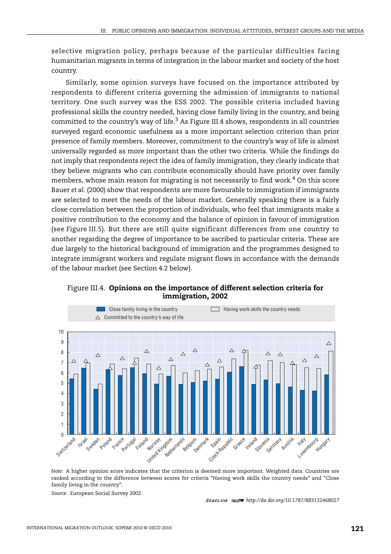selective migration policy, perhaps because of the particular difficulties facing humanitarian migrants in terms of integration in the labour market and society of the host country.

Similarly, some opinion surveys have focused on the importance attributed by respondents to different criteria governing the admission of immigrants to national territory. One such survey was the ESS 2002. The possible criteria included having professional skills the country needed, having close family living in the country, and being committed to the country's way of life. $3$  As Figure III.4 shows, respondents in all countries surveyed regard economic usefulness as a more important selection criterion than prior presence of family members. Moreover, commitment to the country's way of life is almost universally regarded as more important than the other two criteria. While the findings do not imply that respondents reject the idea of family immigration, they clearly indicate that they believe migrants who can contribute economically should have priority over family members, whose main reason for migrating is not necessarily to find work.4 On this score Bauer *et al.* (2000) show that respondents are more favourable to immigration if immigrants are selected to meet the needs of the labour market. Generally speaking there is a fairly close correlation between the proportion of individuals, who feel that immigrants make a positive contribution to the economy and the balance of opinion in favour of immigration (see Figure III.5). But there are still quite significant differences from one country to another regarding the degree of importance to be ascribed to particular criteria. These are due largely to the historical background of immigration and the programmes designed to integrate immigrant workers and regulate migrant flows in accordance with the demands of the labour market (see Section 4.2 below).





*Note:* A higher opinion score indicates that the criterion is deemed more important. Weighted data. Countries are ranked according to the difference between scores for criteria "Having work skills the country needs" and "Close family living in the country".

*Source:* European Social Survey 2002.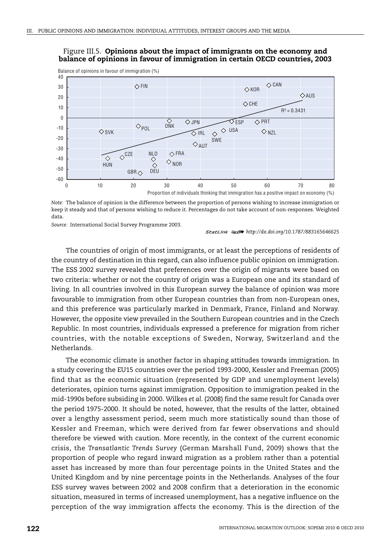

#### Figure III.5. **Opinions about the impact of immigrants on the economy and balance of opinions in favour of immigration in certain OECD countries, 2003**

*Note:* The balance of opinion is the difference between the proportion of persons wishing to increase immigration or keep it steady and that of persons wishing to reduce it. Percentages do not take account of non-responses. Weighted data.

*Source:* International Social Survey Programme 2003.

1 2 *<http://dx.doi.org/10.1787/883165646625>*

The countries of origin of most immigrants, or at least the perceptions of residents of the country of destination in this regard, can also influence public opinion on immigration. The ESS 2002 survey revealed that preferences over the origin of migrants were based on two criteria: whether or not the country of origin was a European one and its standard of living. In all countries involved in this European survey the balance of opinion was more favourable to immigration from other European countries than from non-European ones, and this preference was particularly marked in Denmark, France, Finland and Norway. However, the opposite view prevailed in the Southern European countries and in the Czech Republic. In most countries, individuals expressed a preference for migration from richer countries, with the notable exceptions of Sweden, Norway, Switzerland and the Netherlands.

The economic climate is another factor in shaping attitudes towards immigration. In a study covering the EU15 countries over the period 1993-2000, Kessler and Freeman (2005) find that as the economic situation (represented by GDP and unemployment levels) deteriorates, opinion turns against immigration. Opposition to immigration peaked in the mid-1990s before subsiding in 2000. Wilkes *et al*. (2008) find the same result for Canada over the period 1975-2000. It should be noted, however, that the results of the latter, obtained over a lengthy assessment period, seem much more statistically sound than those of Kessler and Freeman, which were derived from far fewer observations and should therefore be viewed with caution. More recently, in the context of the current economic crisis, the *Transatlantic Trends Survey* (German Marshall Fund, 2009) shows that the proportion of people who regard inward migration as a problem rather than a potential asset has increased by more than four percentage points in the United States and the United Kingdom and by nine percentage points in the Netherlands. Analyses of the four ESS survey waves between 2002 and 2008 confirm that a deterioration in the economic situation, measured in terms of increased unemployment, has a negative influence on the perception of the way immigration affects the economy. This is the direction of the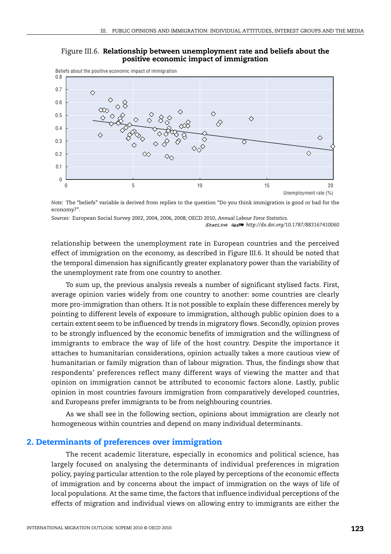#### Figure III.6. **Relationship between unemployment rate and beliefs about the positive economic impact of immigration**



*Note:* The "beliefs" variable is derived from replies to the question "Do you think immigration is good or bad for the economy?".

*Sources:* European Social Survey 2002, 2004, 2006, 2008; OECD 2010, *Annual Labour Force Statistics*. 1 2 *<http://dx.doi.org/10.1787/883167410060>*

relationship between the unemployment rate in European countries and the perceived effect of immigration on the economy, as described in Figure III.6. It should be noted that the temporal dimension has significantly greater explanatory power than the variability of the unemployment rate from one country to another.

To sum up, the previous analysis reveals a number of significant stylised facts. First, average opinion varies widely from one country to another: some countries are clearly more pro-immigration than others. It is not possible to explain these differences merely by pointing to different levels of exposure to immigration, although public opinion does to a certain extent seem to be influenced by trends in migratory flows. Secondly, opinion proves to be strongly influenced by the economic benefits of immigration and the willingness of immigrants to embrace the way of life of the host country. Despite the importance it attaches to humanitarian considerations, opinion actually takes a more cautious view of humanitarian or family migration than of labour migration. Thus, the findings show that respondents' preferences reflect many different ways of viewing the matter and that opinion on immigration cannot be attributed to economic factors alone. Lastly, public opinion in most countries favours immigration from comparatively developed countries, and Europeans prefer immigrants to be from neighbouring countries.

As we shall see in the following section, opinions about immigration are clearly not homogeneous within countries and depend on many individual determinants.

# **2. Determinants of preferences over immigration**

The recent academic literature, especially in economics and political science, has largely focused on analysing the determinants of individual preferences in migration policy, paying particular attention to the role played by perceptions of the economic effects of immigration and by concerns about the impact of immigration on the ways of life of local populations. At the same time, the factors that influence individual perceptions of the effects of migration and individual views on allowing entry to immigrants are either the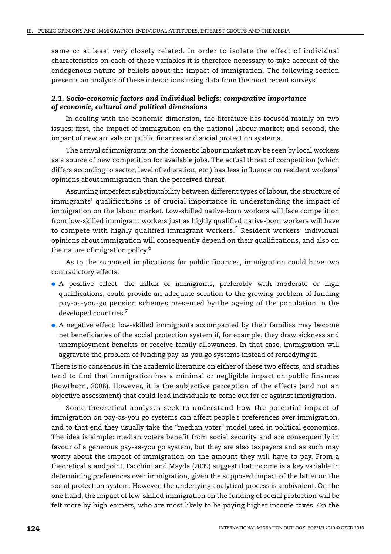same or at least very closely related. In order to isolate the effect of individual characteristics on each of these variables it is therefore necessary to take account of the endogenous nature of beliefs about the impact of immigration. The following section presents an analysis of these interactions using data from the most recent surveys.

#### *2.1. Socio-economic factors and individual beliefs: comparative importance of economic, cultural and political dimensions*

In dealing with the economic dimension, the literature has focused mainly on two issues: first, the impact of immigration on the national labour market; and second, the impact of new arrivals on public finances and social protection systems.

The arrival of immigrants on the domestic labour market may be seen by local workers as a source of new competition for available jobs. The actual threat of competition (which differs according to sector, level of education, etc.) has less influence on resident workers' opinions about immigration than the perceived threat.

Assuming imperfect substitutability between different types of labour, the structure of immigrants' qualifications is of crucial importance in understanding the impact of immigration on the labour market. Low-skilled native-born workers will face competition from low-skilled immigrant workers just as highly qualified native-born workers will have to compete with highly qualified immigrant workers.<sup>5</sup> Resident workers' individual opinions about immigration will consequently depend on their qualifications, and also on the nature of migration policy.<sup>6</sup>

As to the supposed implications for public finances, immigration could have two contradictory effects:

- A positive effect: the influx of immigrants, preferably with moderate or high qualifications, could provide an adequate solution to the growing problem of funding pay-as-you-go pension schemes presented by the ageing of the population in the developed countries.<sup>7</sup>
- A negative effect: low-skilled immigrants accompanied by their families may become net beneficiaries of the social protection system if, for example, they draw sickness and unemployment benefits or receive family allowances. In that case, immigration will aggravate the problem of funding pay-as-you go systems instead of remedying it.

There is no consensus in the academic literature on either of these two effects, and studies tend to find that immigration has a minimal or negligible impact on public finances (Rowthorn, 2008). However, it is the subjective perception of the effects (and not an objective assessment) that could lead individuals to come out for or against immigration.

Some theoretical analyses seek to understand how the potential impact of immigration on pay-as-you go systems can affect people's preferences over immigration, and to that end they usually take the "median voter" model used in political economics. The idea is simple: median voters benefit from social security and are consequently in favour of a generous pay-as-you go system, but they are also taxpayers and as such may worry about the impact of immigration on the amount they will have to pay. From a theoretical standpoint, Facchini and Mayda (2009) suggest that income is a key variable in determining preferences over immigration, given the supposed impact of the latter on the social protection system. However, the underlying analytical process is ambivalent. On the one hand, the impact of low-skilled immigration on the funding of social protection will be felt more by high earners, who are most likely to be paying higher income taxes. On the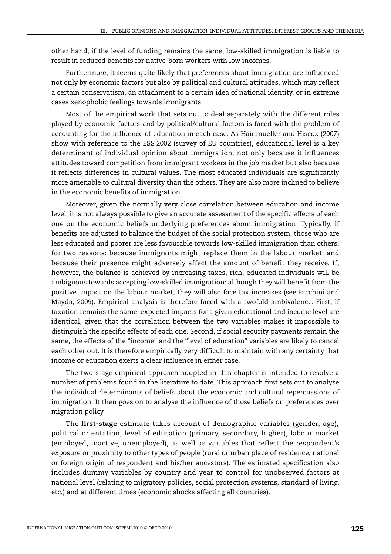other hand, if the level of funding remains the same, low-skilled immigration is liable to result in reduced benefits for native-born workers with low incomes.

Furthermore, it seems quite likely that preferences about immigration are influenced not only by economic factors but also by political and cultural attitudes, which may reflect a certain conservatism, an attachment to a certain idea of national identity, or in extreme cases xenophobic feelings towards immigrants.

Most of the empirical work that sets out to deal separately with the different roles played by economic factors and by political/cultural factors is faced with the problem of accounting for the influence of education in each case. As Hainmueller and Hiscox (2007) show with reference to the ESS 2002 (survey of EU countries), educational level is a key determinant of individual opinion about immigration, not only because it influences attitudes toward competition from immigrant workers in the job market but also because it reflects differences in cultural values. The most educated individuals are significantly more amenable to cultural diversity than the others. They are also more inclined to believe in the economic benefits of immigration.

Moreover, given the normally very close correlation between education and income level, it is not always possible to give an accurate assessment of the specific effects of each one on the economic beliefs underlying preferences about immigration. Typically, if benefits are adjusted to balance the budget of the social protection system, those who are less educated and poorer are less favourable towards low-skilled immigration than others, for two reasons: because immigrants might replace them in the labour market, and because their presence might adversely affect the amount of benefit they receive. If, however, the balance is achieved by increasing taxes, rich, educated individuals will be ambiguous towards accepting low-skilled immigration: although they will benefit from the positive impact on the labour market, they will also face tax increases (see Facchini and Mayda, 2009). Empirical analysis is therefore faced with a twofold ambivalence. First, if taxation remains the same, expected impacts for a given educational and income level are identical, given that the correlation between the two variables makes it impossible to distinguish the specific effects of each one. Second, if social security payments remain the same, the effects of the "income" and the "level of education" variables are likely to cancel each other out. It is therefore empirically very difficult to maintain with any certainty that income or education exerts a clear influence in either case.

The two-stage empirical approach adopted in this chapter is intended to resolve a number of problems found in the literature to date. This approach first sets out to analyse the individual determinants of beliefs about the economic and cultural repercussions of immigration. It then goes on to analyse the influence of those beliefs on preferences over migration policy.

The **first-stage** estimate takes account of demographic variables (gender, age), political orientation, level of education (primary, secondary, higher), labour market (employed, inactive, unemployed), as well as variables that reflect the respondent's exposure or proximity to other types of people (rural or urban place of residence, national or foreign origin of respondent and his/her ancestors). The estimated specification also includes dummy variables by country and year to control for unobserved factors at national level (relating to migratory policies, social protection systems, standard of living, etc.) and at different times (economic shocks affecting all countries).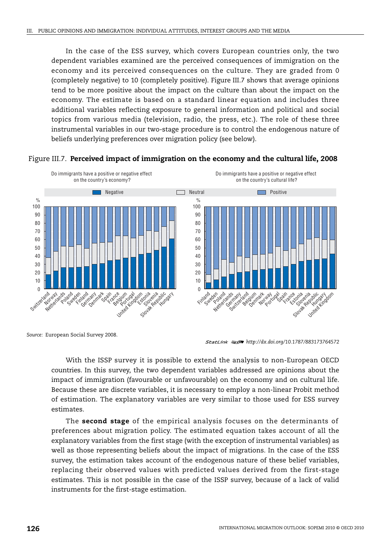In the case of the ESS survey, which covers European countries only, the two dependent variables examined are the perceived consequences of immigration on the economy and its perceived consequences on the culture. They are graded from 0 (completely negative) to 10 (completely positive). Figure III.7 shows that average opinions tend to be more positive about the impact on the culture than about the impact on the economy. The estimate is based on a standard linear equation and includes three additional variables reflecting exposure to general information and political and social topics from various media (television, radio, the press, etc.). The role of these three instrumental variables in our two-stage procedure is to control the endogenous nature of beliefs underlying preferences over migration policy (see below).



#### Figure III.7. **Perceived impact of immigration on the economy and the cultural life, 2008**

*Source:* European Social Survey 2008.

1 2 *<http://dx.doi.org/10.1787/883173764572>*

With the ISSP survey it is possible to extend the analysis to non-European OECD countries. In this survey, the two dependent variables addressed are opinions about the impact of immigration (favourable or unfavourable) on the economy and on cultural life. Because these are discrete variables, it is necessary to employ a non-linear Probit method of estimation. The explanatory variables are very similar to those used for ESS survey estimates.

The **second stage** of the empirical analysis focuses on the determinants of preferences about migration policy. The estimated equation takes account of all the explanatory variables from the first stage (with the exception of instrumental variables) as well as those representing beliefs about the impact of migrations. In the case of the ESS survey, the estimation takes account of the endogenous nature of these belief variables, replacing their observed values with predicted values derived from the first-stage estimates. This is not possible in the case of the ISSP survey, because of a lack of valid instruments for the first-stage estimation.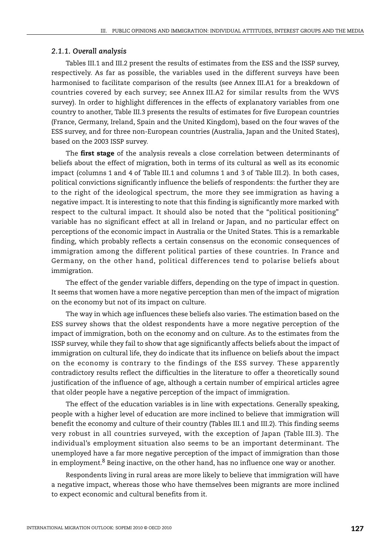#### *2.1.1. Overall analysis*

Tables III.1 and III.2 present the results of estimates from the ESS and the ISSP survey, respectively. As far as possible, the variables used in the different surveys have been harmonised to facilitate comparison of the results (see Annex III.A1 for a breakdown of countries covered by each survey; see Annex III.A2 for similar results from the WVS survey). In order to highlight differences in the effects of explanatory variables from one country to another, Table III.3 presents the results of estimates for five European countries (France, Germany, Ireland, Spain and the United Kingdom), based on the four waves of the ESS survey, and for three non-European countries (Australia, Japan and the United States), based on the 2003 ISSP survey.

The **first stage** of the analysis reveals a close correlation between determinants of beliefs about the effect of migration, both in terms of its cultural as well as its economic impact (columns 1 and 4 of Table III.1 and columns 1 and 3 of Table III.2). In both cases, political convictions significantly influence the beliefs of respondents: the further they are to the right of the ideological spectrum, the more they see immigration as having a negative impact. It is interesting to note that this finding is significantly more marked with respect to the cultural impact. It should also be noted that the "political positioning" variable has no significant effect at all in Ireland or Japan, and no particular effect on perceptions of the economic impact in Australia or the United States. This is a remarkable finding, which probably reflects a certain consensus on the economic consequences of immigration among the different political parties of these countries. In France and Germany, on the other hand, political differences tend to polarise beliefs about immigration.

The effect of the gender variable differs, depending on the type of impact in question. It seems that women have a more negative perception than men of the impact of migration on the economy but not of its impact on culture.

The way in which age influences these beliefs also varies. The estimation based on the ESS survey shows that the oldest respondents have a more negative perception of the impact of immigration, both on the economy and on culture. As to the estimates from the ISSP survey, while they fail to show that age significantly affects beliefs about the impact of immigration on cultural life, they do indicate that its influence on beliefs about the impact on the economy is contrary to the findings of the ESS survey. These apparently contradictory results reflect the difficulties in the literature to offer a theoretically sound justification of the influence of age, although a certain number of empirical articles agree that older people have a negative perception of the impact of immigration.

The effect of the education variables is in line with expectations. Generally speaking, people with a higher level of education are more inclined to believe that immigration will benefit the economy and culture of their country (Tables III.1 and III.2). This finding seems very robust in all countries surveyed, with the exception of Japan (Table III.3). The individual's employment situation also seems to be an important determinant. The unemployed have a far more negative perception of the impact of immigration than those in employment. $8$  Being inactive, on the other hand, has no influence one way or another.

Respondents living in rural areas are more likely to believe that immigration will have a negative impact, whereas those who have themselves been migrants are more inclined to expect economic and cultural benefits from it.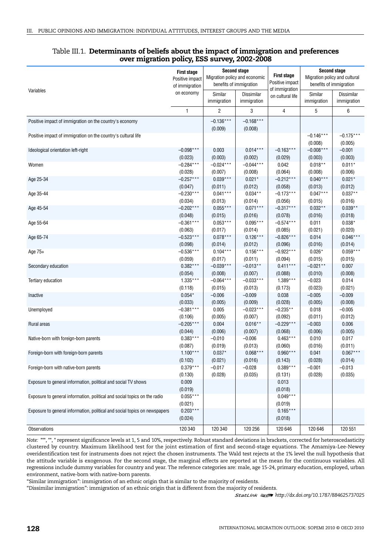|                                                                            | <b>First stage</b><br>Positive impact<br>of immigration | <b>Second stage</b><br>Migration policy and economic<br>benefits of immigration |                           | <b>First stage</b><br>Positive impact | <b>Second stage</b><br>Migration policy and cultural<br>benefits of immigration |                           |
|----------------------------------------------------------------------------|---------------------------------------------------------|---------------------------------------------------------------------------------|---------------------------|---------------------------------------|---------------------------------------------------------------------------------|---------------------------|
| Variables                                                                  | on economy                                              | Similar<br>immigration                                                          | Dissimilar<br>immigration | of immigration<br>on cultural life    | Similar<br>immigration                                                          | Dissimilar<br>immigration |
|                                                                            | 1                                                       | $\overline{2}$                                                                  | 3                         | $\overline{4}$                        | 5                                                                               | 6                         |
| Positive impact of immigration on the country's economy                    |                                                         | $-0.136***$<br>(0.009)                                                          | $-0.168***$<br>(0.008)    |                                       |                                                                                 |                           |
| Positive impact of immigration on the country's cultural life              |                                                         |                                                                                 |                           |                                       | $-0.146***$<br>(0.008)                                                          | $-0.175***$<br>(0.005)    |
| Ideological orientation left-right                                         | $-0.098***$                                             | 0.003                                                                           | $0.014***$                | $-0.163***$                           | $-0.008***$                                                                     | $-0.001$                  |
|                                                                            | (0.023)                                                 | (0.003)                                                                         | (0.002)                   | (0.029)                               | (0.003)                                                                         | (0.003)                   |
| Women                                                                      | $-0.284***$                                             | $-0.024***$                                                                     | $-0.044***$               | 0.042                                 | $0.018**$                                                                       | $0.011*$                  |
|                                                                            | (0.028)                                                 | (0.007)                                                                         | (0.008)                   | (0.064)                               | (0.008)                                                                         | (0.006)                   |
| Age 25-34                                                                  | $-0.257***$                                             | $0.039***$                                                                      | $0.021*$                  | $-0.212***$                           | $0.040***$                                                                      | $0.021*$                  |
|                                                                            | (0.047)                                                 | (0.011)                                                                         | (0.012)                   | (0.058)                               | (0.013)                                                                         | (0.012)                   |
| Age 35-44                                                                  | $-0.230***$                                             | $0.041***$                                                                      | $0.034**$                 | $-0.173***$                           | $0.047***$                                                                      | $0.037**$                 |
|                                                                            | (0.034)                                                 | (0.013)                                                                         | (0.014)                   | (0.056)                               | (0.015)                                                                         | (0.016)                   |
| Age 45-54                                                                  | $-0.202***$                                             | $0.055***$                                                                      | $0.071***$                | $-0.317***$                           | $0.032**$                                                                       | $0.039**$                 |
|                                                                            | (0.048)                                                 | (0.015)                                                                         | (0.016)                   | (0.078)                               | (0.016)                                                                         | (0.018)                   |
| Age 55-64                                                                  | $-0.361***$                                             | $0.053***$                                                                      | $0.095***$                | $-0.574***$                           | 0.011                                                                           | $0.038*$                  |
|                                                                            | (0.063)                                                 | (0.017)                                                                         | (0.014)                   | (0.085)                               | (0.021)                                                                         | (0.020)                   |
| Age 65-74                                                                  | $-0.523***$                                             | $0.078***$                                                                      | $0.126***$                | $-0.826***$                           | 0.014                                                                           | $0.046***$                |
|                                                                            | (0.098)                                                 | (0.014)                                                                         | (0.012)                   | (0.096)                               | (0.016)                                                                         | (0.014)                   |
| Age 75+                                                                    | $-0.536***$                                             | $0.104***$                                                                      | $0.156***$                | $-0.922***$                           | $0.026*$                                                                        | $0.059***$                |
|                                                                            | (0.059)                                                 | (0.017)                                                                         | (0.011)                   | (0.094)                               | (0.015)                                                                         | (0.015)                   |
| Secondary education                                                        | $0.382***$                                              | $-0.039***$                                                                     | $-0.013**$                | $0.411***$                            | $-0.021**$                                                                      | 0.007                     |
|                                                                            | (0.054)                                                 | (0.008)                                                                         | (0.007)                   | (0.088)                               | (0.010)                                                                         | (0.008)                   |
| Tertiary education                                                         | $1.335***$                                              | $-0.064***$                                                                     | $-0.033***$               | $1.389***$                            | $-0.023$                                                                        | 0.014                     |
|                                                                            | (0.118)                                                 | (0.015)                                                                         | (0.013)                   | (0.173)                               | (0.023)                                                                         | (0.021)                   |
| Inactive                                                                   | $0.054*$                                                | $-0.006$                                                                        | $-0.009$                  | 0.038                                 | $-0.005$                                                                        | $-0.009$                  |
|                                                                            | (0.033)                                                 | (0.005)                                                                         | (0.009)                   | (0.028)                               | (0.005)                                                                         | (0.008)                   |
| Unemployed                                                                 | $-0.381***$                                             | 0.005                                                                           | $-0.023***$               | $-0.235**$                            | 0.018                                                                           | $-0.005$                  |
|                                                                            | (0.106)                                                 | (0.005)                                                                         | (0.007)                   | (0.092)                               | (0.011)                                                                         | (0.012)                   |
| Rural areas                                                                | $-0.205***$                                             | 0.004                                                                           | $0.016**$                 | $-0.229***$                           | $-0.003$                                                                        | 0.006                     |
|                                                                            | (0.044)                                                 | (0.006)                                                                         | (0.007)                   | (0.068)                               | (0.006)                                                                         | (0.005)                   |
| Native-born with foreign-born parents                                      | $0.383***$                                              | $-0.010$                                                                        | $-0.006$                  | $0.463***$                            | 0.010                                                                           | 0.017                     |
|                                                                            | (0.087)                                                 | (0.019)                                                                         | (0.013)                   | (0.060)                               | (0.016)                                                                         | (0.011)                   |
| Foreign-born with foreign-born parents                                     | $1.100***$                                              | $0.037*$                                                                        | $0.068***$                | $0.960***$                            | 0.041                                                                           | $0.067***$                |
|                                                                            | (0.102)                                                 | (0.021)                                                                         | (0.016)                   | (0.143)                               | (0.028)                                                                         | (0.014)                   |
| Foreign-born with native-born parents                                      | $0.379***$                                              | $-0.017$                                                                        | $-0.028$                  | $0.389***$                            | $-0.001$                                                                        | $-0.013$                  |
|                                                                            | (0.130)                                                 | (0.028)                                                                         | (0.035)                   | (0.131)                               | (0.028)                                                                         | (0.035)                   |
| Exposure to general information, political and social TV shows             | 0.009<br>(0.019)                                        |                                                                                 |                           | 0.013<br>(0.018)                      |                                                                                 |                           |
| Exposure to general information, political and social topics on the radio  | $0.055***$<br>(0.021)                                   |                                                                                 |                           | $0.049***$<br>(0.019)                 |                                                                                 |                           |
| Exposure to general information, political and social topics on newspapers | $0.203***$<br>(0.024)                                   |                                                                                 |                           | $0.165***$<br>(0.018)                 |                                                                                 |                           |
| Observations                                                               | 120 340                                                 | 120 340                                                                         | 120 256                   | 120 646                               | 120 646                                                                         | 120 551                   |

#### Table III.1. **Determinants of beliefs about the impact of immigration and preferences over migration policy, ESS survey, 2002-2008**

*Note:* \*\*\*, \*\*, \* represent significance levels at 1, 5 and 10%, respectively. Robust standard deviations in brackets, corrected for heteroscedasticity clustered by country. Maximum likelihood test for the joint estimation of first and second-stage equations. The Amamiya-Lee-Newey overidentification test for instruments does not reject the chosen instruments. The Wald test rejects at the 1% level the null hypothesis that the attitude variable is exogenous. For the second stage, the marginal effects are reported at the mean for the continuous variables. All regressions include dummy variables for country and year. The reference categories are: male, age 15-24, primary education, employed, urban environment, native-born with native-born parents.

"Similar immigration": immigration of an ethnic origin that is similar to the majority of residents.

"Dissimilar immigration": immigration of an ethnic origin that is different from the majority of residents.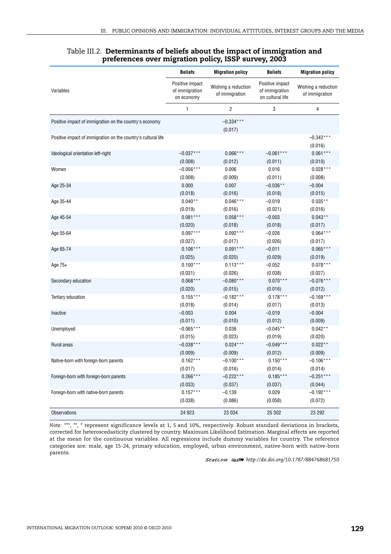|                                                               | <b>Beliefs</b>                                  | <b>Migration policy</b>               | <b>Beliefs</b>                                        | <b>Migration policy</b>               |
|---------------------------------------------------------------|-------------------------------------------------|---------------------------------------|-------------------------------------------------------|---------------------------------------|
| Variables                                                     | Positive impact<br>of immigration<br>on economy | Wishing a reduction<br>of immigration | Positive impact<br>of immigration<br>on cultural life | Wishing a reduction<br>of immigration |
|                                                               | $\mathbf{1}$                                    | $\overline{c}$                        | 3                                                     | $\overline{\mathbf{4}}$               |
| Positive impact of immigration on the country's economy       |                                                 | $-0.334***$<br>(0.017)                |                                                       |                                       |
| Positive impact of immigration on the country's cultural life |                                                 |                                       |                                                       | $-0.343***$<br>(0.016)                |
| Ideological orientation left-right                            | $-0.037***$                                     | $0.066***$                            | $-0.061***$                                           | $0.061***$                            |
|                                                               | (0.008)                                         | (0.012)                               | (0.011)                                               | (0.010)                               |
| Women                                                         | $-0.056***$                                     | 0.006                                 | 0.016                                                 | $0.028***$                            |
|                                                               | (0.008)                                         | (0.009)                               | (0.011)                                               | (0.008)                               |
| Age 25-34                                                     | 0.000                                           | 0.007                                 | $-0.036**$                                            | $-0.004$                              |
|                                                               | (0.018)                                         | (0.016)                               | (0.018)                                               | (0.015)                               |
| Age 35-44                                                     | $0.040**$                                       | $0.046***$                            | $-0.019$                                              | $0.035**$                             |
|                                                               | (0.019)                                         | (0.016)                               | (0.021)                                               | (0.016)                               |
| Age 45-54                                                     | $0.081***$                                      | $0.058***$                            | $-0.003$                                              | $0.043**$                             |
|                                                               | (0.020)                                         | (0.018)                               | (0.018)                                               | (0.017)                               |
| Age 55-64                                                     | $0.097***$                                      | $0.092***$                            | $-0.026$                                              | $0.064***$                            |
|                                                               | (0.027)                                         | (0.017)                               | (0.026)                                               | (0.017)                               |
| Age 65-74                                                     | $0.106***$                                      | $0.091***$                            | $-0.011$                                              | $0.065***$                            |
|                                                               | (0.025)                                         | (0.020)                               | (0.029)                                               | (0.019)                               |
| Age 75+                                                       | $0.100***$                                      | $0.113***$                            | $-0.052$                                              | $0.078***$                            |
|                                                               | (0.031)                                         | (0.026)                               | (0.038)                                               | (0.027)                               |
| Secondary education                                           | $0.068***$                                      | $-0.080***$                           | $0.070***$                                            | $-0.076***$                           |
|                                                               | (0.020)                                         | (0.015)                               | (0.016)                                               | (0.012)                               |
| Tertiary education                                            | $0.155***$                                      | $-0.182***$                           | $0.178***$                                            | $-0.169***$                           |
|                                                               | (0.018)                                         | (0.014)                               | (0.017)                                               | (0.013)                               |
| Inactive                                                      | $-0.003$                                        | 0.004                                 | $-0.019$                                              | $-0.004$                              |
|                                                               | (0.011)                                         | (0.010)                               | (0.012)                                               | (0.009)                               |
| Unemployed                                                    | $-0.065***$                                     | 0.036                                 | $-0.045**$                                            | $0.042**$                             |
|                                                               | (0.015)                                         | (0.023)                               | (0.019)                                               | (0.020)                               |
| <b>Rural areas</b>                                            | $-0.038***$                                     | $0.024***$                            | $-0.049***$                                           | $0.022**$                             |
|                                                               | (0.009)                                         | (0.009)                               | (0.012)                                               | (0.009)                               |
| Native-born with foreign-born parents                         | $0.162***$                                      | $-0.100***$                           | $0.150***$                                            | $-0.106***$                           |
|                                                               | (0.017)                                         | (0.016)                               | (0.014)                                               | (0.014)                               |
| Foreign-born with foreign-born parents                        | $0.266***$                                      | $-0.222***$                           | $0.185***$                                            | $-0.251***$                           |
|                                                               | (0.033)                                         | (0.037)                               | (0.037)                                               | (0.044)                               |
| Foreign-born with native-born parents                         | $0.157***$                                      | $-0.139$                              | 0.029                                                 | $-0.192***$                           |
|                                                               | (0.038)                                         | (0.086)                               | (0.058)                                               | (0.072)                               |
| Observations                                                  | 24 9 23                                         | 23 034                                | 25 302                                                | 23 292                                |

#### Table III.2. **Determinants of beliefs about the impact of immigration and preferences over migration policy, ISSP survey, 2003**

*Note:* \*\*\*, \*\*, \* represent significance levels at 1, 5 and 10%, respectively. Robust standard deviations in brackets, corrected for heteroscedasticity clustered by country. Maximum Likelihood Estimation. Marginal effects are reported at the mean for the continuous variables. All regressions include dummy variables for country. The reference categories are: male, age 15-24, primary education, employed, urban environment, native-born with native-born parents.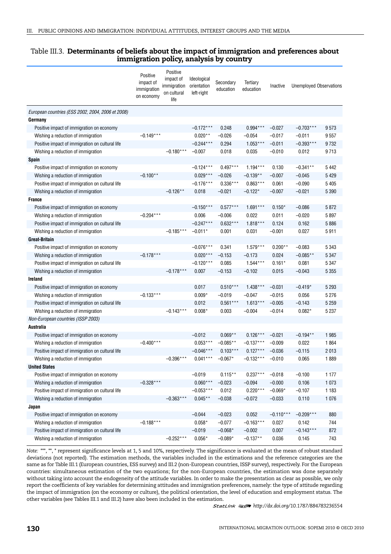#### Table III.3. **Determinants of beliefs about the impact of immigration and preferences about immigration policy, analysis by country**

|                                                   | Positive<br>impact of<br>immigration<br>on economy | Positive<br>impact of<br>immigration<br>on cultural<br>life | Ideological<br>orientation<br>left-right | Secondary<br>education | Tertiary<br>education | Inactive    | <b>Unemployed Observations</b> |         |
|---------------------------------------------------|----------------------------------------------------|-------------------------------------------------------------|------------------------------------------|------------------------|-----------------------|-------------|--------------------------------|---------|
| European countries (ESS 2002, 2004, 2006 et 2008) |                                                    |                                                             |                                          |                        |                       |             |                                |         |
| Germany                                           |                                                    |                                                             |                                          |                        |                       |             |                                |         |
| Positive impact of immigration on economy         |                                                    |                                                             | $-0.172***$                              | 0.248                  | $0.994***$            | $-0.027$    | $-0.703***$                    | 9573    |
| Wishing a reduction of immigration                | $-0.149***$                                        |                                                             | $0.020**$                                | $-0.026$               | $-0.054$              | $-0.017$    | $-0.011$                       | 9557    |
| Positive impact of immigration on cultural life   |                                                    |                                                             | $-0.244***$                              | 0.294                  | $1.053***$            | $-0.011$    | $-0.393***$                    | 9732    |
| Wishing a reduction of immigration                |                                                    | $-0.180***$                                                 | $-0.007$                                 | 0.018                  | 0.035                 | $-0.010$    | 0.012                          | 9713    |
| <b>Spain</b>                                      |                                                    |                                                             |                                          |                        |                       |             |                                |         |
| Positive impact of immigration on economy         |                                                    |                                                             | $-0.124***$                              | $0.497***$             | $1.194***$            | 0.130       | $-0.341**$                     | 5442    |
| Wishing a reduction of immigration                | $-0.100**$                                         |                                                             | $0.029***$                               | $-0.026$               | $-0.139**$            | $-0.007$    | $-0.045$                       | 5 4 2 9 |
| Positive impact of immigration on cultural life   |                                                    |                                                             | $-0.176***$                              | $0.336***$             | $0.863***$            | 0.061       | $-0.090$                       | 5 4 0 5 |
| Wishing a reduction of immigration                |                                                    | $-0.126**$                                                  | 0.018                                    | $-0.021$               | $-0.122*$             | $-0.007$    | $-0.021$                       | 5 3 9 0 |
| <b>France</b>                                     |                                                    |                                                             |                                          |                        |                       |             |                                |         |
| Positive impact of immigration on economy         |                                                    |                                                             | $-0.150***$                              | $0.577***$             | $1.691***$            | $0.150*$    | $-0.086$                       | 5872    |
| Wishing a reduction of immigration                | $-0.204***$                                        |                                                             | 0.006                                    | $-0.006$               | 0.022                 | 0.011       | $-0.020$                       | 5897    |
| Positive impact of immigration on cultural life   |                                                    |                                                             | $-0.247***$                              | $0.632***$             | $1.818***$            | 0.124       | 0.162                          | 5886    |
| Wishing a reduction of immigration                |                                                    | $-0.185***$                                                 | $-0.011*$                                | 0.001                  | 0.031                 | $-0.001$    | 0.027                          | 5911    |
| <b>Great-Britain</b>                              |                                                    |                                                             |                                          |                        |                       |             |                                |         |
| Positive impact of immigration on economy         |                                                    |                                                             | $-0.076***$                              | 0.341                  | $1.579***$            | $0.200**$   | $-0.083$                       | 5 3 4 3 |
| Wishing a reduction of immigration                | $-0.178***$                                        |                                                             | $0.020***$                               | $-0.153$               | $-0.173$              | 0.024       | $-0.085**$                     | 5 3 4 7 |
| Positive impact of immigration on cultural life   |                                                    |                                                             | $-0.120***$                              | 0.085                  | $1.544***$            | $0.161*$    | 0.081                          | 5 3 4 7 |
| Wishing a reduction of immigration                |                                                    | $-0.178***$                                                 | 0.007                                    | $-0.153$               | $-0.102$              | 0.015       | $-0.043$                       | 5 3 5 5 |
| <b>Ireland</b>                                    |                                                    |                                                             |                                          |                        |                       |             |                                |         |
| Positive impact of immigration on economy         |                                                    |                                                             | 0.017                                    | $0.510***$             | $1.438***$            | $-0.031$    | $-0.419*$                      | 5 2 9 3 |
| Wishing a reduction of immigration                | $-0.133***$                                        |                                                             | $0.009*$                                 | $-0.019$               | $-0.047$              | $-0.015$    | 0.056                          | 5 2 7 6 |
| Positive impact of immigration on cultural life   |                                                    |                                                             | 0.012                                    | $0.561***$             | $1.613***$            | $-0.005$    | $-0.143$                       | 5 2 5 9 |
| Wishing a reduction of immigration                |                                                    | $-0.143***$                                                 | $0.008*$                                 | 0.003                  | $-0.004$              | $-0.014$    | $0.082*$                       | 5 2 3 7 |
| Non-European countries (ISSP 2003)                |                                                    |                                                             |                                          |                        |                       |             |                                |         |
| <b>Australia</b>                                  |                                                    |                                                             |                                          |                        |                       |             |                                |         |
| Positive impact of immigration on economy         |                                                    |                                                             | $-0.012$                                 | $0.069**$              | $0.126***$            | $-0.021$    | $-0.194**$                     | 1985    |
| Wishing a reduction of immigration                | $-0.400***$                                        |                                                             | $0.053***$                               | $-0.085**$             | $-0.137***$           | $-0.009$    | 0.022                          | 1864    |
| Positive impact of immigration on cultural life   |                                                    |                                                             | $-0.046***$                              | $0.103***$             | $0.127***$            | $-0.036$    | $-0.115$                       | 2013    |
| Wishing a reduction of immigration                |                                                    | $-0.396***$                                                 | $0.041***$                               | $-0.067*$              | $-0.132***$           | $-0.010$    | 0.065                          | 1889    |
| <b>United States</b>                              |                                                    |                                                             |                                          |                        |                       |             |                                |         |
| Positive impact of immigration on economy         |                                                    |                                                             | $-0.019$                                 | $0.115**$              | $0.237***$            | $-0.018$    | $-0.100$                       | 1 1 7 7 |
| Wishing a reduction of immigration                | $-0.328***$                                        |                                                             | $0.060***$                               | $-0.023$               | $-0.094$              | $-0.000$    | 0.106                          | 1 0 7 3 |
| Positive impact of immigration on cultural life   |                                                    |                                                             | $-0.053***$                              | 0.012                  | $0.220***$            | $-0.069*$   | $-0.107$                       | 1 1 8 3 |
| Wishing a reduction of immigration                |                                                    | $-0.363***$                                                 | $0.045**$                                | $-0.038$               | $-0.072$              | $-0.033$    | 0.110                          | 1076    |
| Japan                                             |                                                    |                                                             |                                          |                        |                       |             |                                |         |
| Positive impact of immigration on economy         |                                                    |                                                             | $-0.044$                                 | $-0.023$               | 0.052                 | $-0.110***$ | $-0.209***$                    | 880     |
| Wishing a reduction of immigration                | $-0.188***$                                        |                                                             | $0.058*$                                 | $-0.077$               | $-0.163***$           | 0.027       | 0.142                          | 744     |
| Positive impact of immigration on cultural life   |                                                    |                                                             | $-0.019$                                 | $-0.068*$              | $-0.002$              | 0.007       | $-0.143***$                    | 872     |
| Wishing a reduction of immigration                |                                                    | $-0.252***$                                                 | $0.056*$                                 | $-0.089*$              | $-0.137**$            | 0.036       | 0.145                          | 743     |

*Note:* \*\*\*, \*\*, \* represent significance levels at 1, 5 and 10%, respectively. The significance is evaluated at the mean of robust standard deviations (not reported). The estimation methods, the variables included in the estimations and the reference categories are the same as for Table III.1 (European countries, ESS survey) and III.2 (non-European countries, ISSP survey), respectively. For the European countries: simultaneous estimation of the two equations; for the non-European countries, the estimation was done separately without taking into account the endogeneity of the attitude variables. In order to make the presentation as clear as possible, we only report the coefficients of key variables for determining attitudes and immigration preferences, namely: the type of attitude regarding the impact of immigration (on the economy or culture), the political orientation, the level of education and employment status. The other variables (see Tables III.1 and III.2) have also been included in the estimation.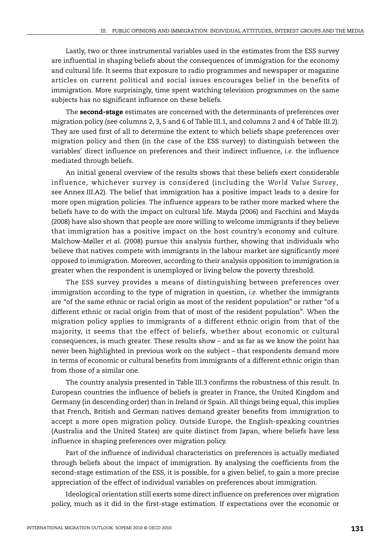Lastly, two or three instrumental variables used in the estimates from the ESS survey are influential in shaping beliefs about the consequences of immigration for the economy and cultural life. It seems that exposure to radio programmes and newspaper or magazine articles on current political and social issues encourages belief in the benefits of immigration. More surprisingly, time spent watching television programmes on the same subjects has no significant influence on these beliefs.

The **second-stage** estimates are concerned with the determinants of preferences over migration policy (see columns 2, 3, 5 and 6 of Table III.1, and columns 2 and 4 of Table III.2). They are used first of all to determine the extent to which beliefs shape preferences over migration policy and then (in the case of the ESS survey) to distinguish between the variables' direct influence on preferences and their indirect influence, *i.e.* the influence mediated through beliefs.

An initial general overview of the results shows that these beliefs exert considerable influence, whichever survey is considered (including the *World Value Survey*, see Annex III.A2). The belief that immigration has a positive impact leads to a desire for more open migration policies. The influence appears to be rather more marked where the beliefs have to do with the impact on cultural life. Mayda (2006) and Facchini and Mayda (2008) have also shown that people are more willing to welcome immigrants if they believe that immigration has a positive impact on the host country's economy and culture. Malchow-Møller *et al*. (2008) pursue this analysis further, showing that individuals who believe that natives compete with immigrants in the labour market are significantly more opposed to immigration. Moreover, according to their analysis opposition to immigration is greater when the respondent is unemployed or living below the poverty threshold.

The ESS survey provides a means of distinguishing between preferences over immigration according to the type of migration in question, *i.e.* whether the immigrants are "of the same ethnic or racial origin as most of the resident population" or rather "of a different ethnic or racial origin from that of most of the resident population". When the migration policy applies to immigrants of a different ethnic origin from that of the majority, it seems that the effect of beliefs, whether about economic or cultural consequences, is much greater. These results show – and as far as we know the point has never been highlighted in previous work on the subject – that respondents demand more in terms of economic or cultural benefits from immigrants of a different ethnic origin than from those of a similar one.

The country analysis presented in Table III.3 confirms the robustness of this result. In European countries the influence of beliefs is greater in France, the United Kingdom and Germany (in descending order) than in Ireland or Spain. All things being equal, this implies that French, British and German natives demand greater benefits from immigration to accept a more open migration policy. Outside Europe, the English-speaking countries (Australia and the United States) are quite distinct from Japan, where beliefs have less influence in shaping preferences over migration policy.

Part of the influence of individual characteristics on preferences is actually mediated through beliefs about the impact of immigration. By analysing the coefficients from the second-stage estimation of the ESS, it is possible, for a given belief, to gain a more precise appreciation of the effect of individual variables on preferences about immigration.

Ideological orientation still exerts some direct influence on preferences over migration policy, much as it did in the first-stage estimation. If expectations over the economic or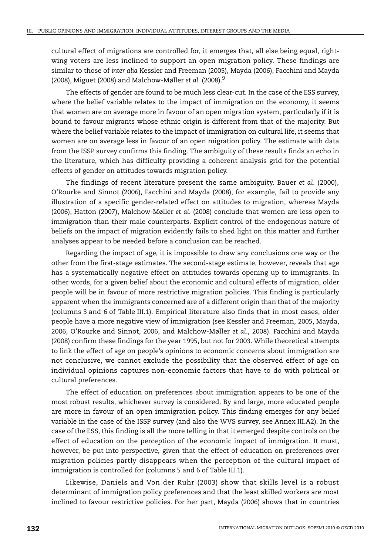cultural effect of migrations are controlled for, it emerges that, all else being equal, rightwing voters are less inclined to support an open migration policy. These findings are similar to those of *inter alia* Kessler and Freeman (2005), Mayda (2006), Facchini and Mayda (2008), Miguet (2008) and Malchow-Møller *et al.* (2008).9

The effects of gender are found to be much less clear-cut. In the case of the ESS survey, where the belief variable relates to the impact of immigration on the economy, it seems that women are on average more in favour of an open migration system, particularly if it is bound to favour migrants whose ethnic origin is different from that of the majority. But where the belief variable relates to the impact of immigration on cultural life, it seems that women are on average less in favour of an open migration policy. The estimate with data from the ISSP survey confirms this finding. The ambiguity of these results finds an echo in the literature, which has difficulty providing a coherent analysis grid for the potential effects of gender on attitudes towards migration policy.

The findings of recent literature present the same ambiguity. Bauer *et al.* (2000), O'Rourke and Sinnot (2006), Facchini and Mayda (2008), for example, fail to provide any illustration of a specific gender-related effect on attitudes to migration, whereas Mayda (2006), Hatton (2007), Malchow-Møller *et al.* (2008) conclude that women are less open to immigration than their male counterparts. Explicit control of the endogenous nature of beliefs on the impact of migration evidently fails to shed light on this matter and further analyses appear to be needed before a conclusion can be reached.

Regarding the impact of age, it is impossible to draw any conclusions one way or the other from the first-stage estimates. The second-stage estimate, however, reveals that age has a systematically negative effect on attitudes towards opening up to immigrants. In other words, for a given belief about the economic and cultural effects of migration, older people will be in favour of more restrictive migration policies. This finding is particularly apparent when the immigrants concerned are of a different origin than that of the majority (columns 3 and 6 of Table III.1). Empirical literature also finds that in most cases, older people have a more negative view of immigration (see Kessler and Freeman, 2005, Mayda, 2006, O'Rourke and Sinnot, 2006, and Malchow-Møller *et al.*, 2008). Facchini and Mayda (2008) confirm these findings for the year 1995, but not for 2003. While theoretical attempts to link the effect of age on people's opinions to economic concerns about immigration are not conclusive, we cannot exclude the possibility that the observed effect of age on individual opinions captures non-economic factors that have to do with political or cultural preferences.

The effect of education on preferences about immigration appears to be one of the most robust results, whichever survey is considered. By and large, more educated people are more in favour of an open immigration policy. This finding emerges for any belief variable in the case of the ISSP survey (and also the WVS survey, see Annex III.A2). In the case of the ESS, this finding is all the more telling in that it emerged despite controls on the effect of education on the perception of the economic impact of immigration. It must, however, be put into perspective, given that the effect of education on preferences over migration policies partly disappears when the perception of the cultural impact of immigration is controlled for (columns 5 and 6 of Table III.1).

Likewise, Daniels and Von der Ruhr (2003) show that skills level is a robust determinant of immigration policy preferences and that the least skilled workers are most inclined to favour restrictive policies. For her part, Mayda (2006) shows that in countries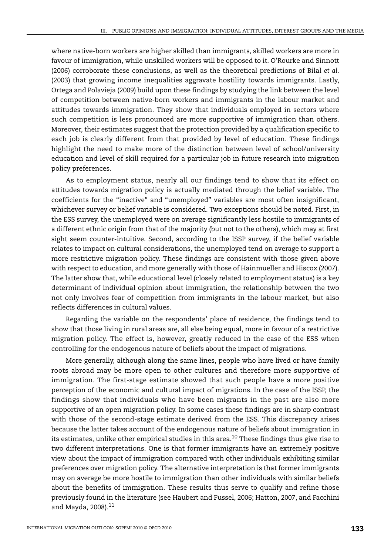where native-born workers are higher skilled than immigrants, skilled workers are more in favour of immigration, while unskilled workers will be opposed to it. O'Rourke and Sinnott (2006) corroborate these conclusions, as well as the theoretical predictions of Bilal *et al*. (2003) that growing income inequalities aggravate hostility towards immigrants. Lastly, Ortega and Polavieja (2009) build upon these findings by studying the link between the level of competition between native-born workers and immigrants in the labour market and attitudes towards immigration. They show that individuals employed in sectors where such competition is less pronounced are more supportive of immigration than others. Moreover, their estimates suggest that the protection provided by a qualification specific to each job is clearly different from that provided by level of education. These findings highlight the need to make more of the distinction between level of school/university education and level of skill required for a particular job in future research into migration policy preferences.

As to employment status, nearly all our findings tend to show that its effect on attitudes towards migration policy is actually mediated through the belief variable. The coefficients for the "inactive" and "unemployed" variables are most often insignificant, whichever survey or belief variable is considered. Two exceptions should be noted. First, in the ESS survey, the unemployed were on average significantly less hostile to immigrants of a different ethnic origin from that of the majority (but not to the others), which may at first sight seem counter-intuitive. Second, according to the ISSP survey, if the belief variable relates to impact on cultural considerations, the unemployed tend on average to support a more restrictive migration policy. These findings are consistent with those given above with respect to education, and more generally with those of Hainmueller and Hiscox (2007). The latter show that, while educational level (closely related to employment status) is a key determinant of individual opinion about immigration, the relationship between the two not only involves fear of competition from immigrants in the labour market, but also reflects differences in cultural values.

Regarding the variable on the respondents' place of residence, the findings tend to show that those living in rural areas are, all else being equal, more in favour of a restrictive migration policy. The effect is, however, greatly reduced in the case of the ESS when controlling for the endogenous nature of beliefs about the impact of migrations.

More generally, although along the same lines, people who have lived or have family roots abroad may be more open to other cultures and therefore more supportive of immigration. The first-stage estimate showed that such people have a more positive perception of the economic and cultural impact of migrations. In the case of the ISSP, the findings show that individuals who have been migrants in the past are also more supportive of an open migration policy. In some cases these findings are in sharp contrast with those of the second-stage estimate derived from the ESS. This discrepancy arises because the latter takes account of the endogenous nature of beliefs about immigration in its estimates, unlike other empirical studies in this area.<sup>10</sup> These findings thus give rise to two different interpretations. One is that former immigrants have an extremely positive view about the impact of immigration compared with other individuals exhibiting similar preferences over migration policy. The alternative interpretation is that former immigrants may on average be more hostile to immigration than other individuals with similar beliefs about the benefits of immigration. These results thus serve to qualify and refine those previously found in the literature (see Haubert and Fussel, 2006; Hatton, 2007, and Facchini and Mayda, 2008).<sup>11</sup>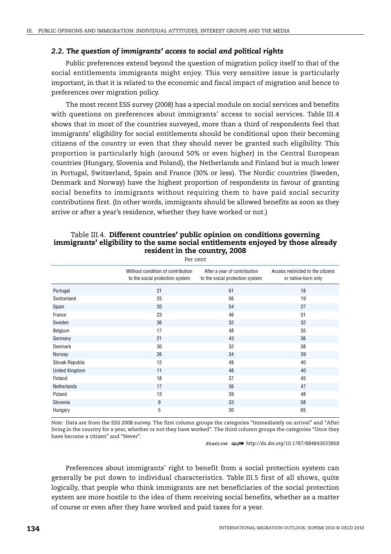#### *2.2. The question of immigrants' access to social and political rights*

Public preferences extend beyond the question of migration policy itself to that of the social entitlements immigrants might enjoy. This very sensitive issue is particularly important, in that it is related to the economic and fiscal impact of migration and hence to preferences over migration policy.

The most recent ESS survey (2008) has a special module on social services and benefits with questions on preferences about immigrants' access to social services. Table III.4 shows that in most of the countries surveyed, more than a third of respondents feel that immigrants' eligibility for social entitlements should be conditional upon their becoming citizens of the country or even that they should never be granted such eligibility. This proportion is particularly high (around 50% or even higher) in the Central European countries (Hungary, Slovenia and Poland), the Netherlands and Finland but is much lower in Portugal, Switzerland, Spain and France (30% or less). The Nordic countries (Sweden, Denmark and Norway) have the highest proportion of respondents in favour of granting social benefits to immigrants without requiring them to have paid social security contributions first. (In other words, immigrants should be allowed benefits as soon as they arrive or after a year's residence, whether they have worked or not.)

| Per cent           |                                                                      |                                                                 |                                                          |  |  |  |
|--------------------|----------------------------------------------------------------------|-----------------------------------------------------------------|----------------------------------------------------------|--|--|--|
|                    | Without condition of contribution<br>to the social protection system | After a year of contribution<br>to the social protection system | Access restricted to the citizens<br>or native-born only |  |  |  |
| Portugal           | 21                                                                   | 61                                                              | 18                                                       |  |  |  |
| Switzerland        | 25                                                                   | 56                                                              | 19                                                       |  |  |  |
| Spain              | 20                                                                   | 54                                                              | 27                                                       |  |  |  |
| France             | 23                                                                   | 46                                                              | 31                                                       |  |  |  |
| Sweden             | 36                                                                   | 32                                                              | 32                                                       |  |  |  |
| Belgium            | 17                                                                   | 48                                                              | 35                                                       |  |  |  |
| Germany            | 21                                                                   | 43                                                              | 36                                                       |  |  |  |
| Denmark            | 30                                                                   | 32                                                              | 38                                                       |  |  |  |
| Norway             | 26                                                                   | 34                                                              | 39                                                       |  |  |  |
| Slovak Republic    | 12                                                                   | 48                                                              | 40                                                       |  |  |  |
| United Kingdom     | 11                                                                   | 48                                                              | 40                                                       |  |  |  |
| Finland            | 18                                                                   | 37                                                              | 45                                                       |  |  |  |
| <b>Netherlands</b> | 17                                                                   | 36                                                              | 47                                                       |  |  |  |
| Poland             | 13                                                                   | 39                                                              | 48                                                       |  |  |  |
| Slovenia           | 9                                                                    | 33                                                              | 58                                                       |  |  |  |
| Hungary            | 5                                                                    | 30                                                              | 65                                                       |  |  |  |

#### Table III.4. **Different countries' public opinion on conditions governing immigrants' eligibility to the same social entitlements enjoyed by those already resident in the country, 2008**

*Note:* Data are from the ESS 2008 survey. The first column groups the categories "Immediately on arrival" and "After living in the country for a year, whether or not they have worked". The third column groups the categories "Once they have become a citizen" and "Never".

1 2 *<http://dx.doi.org/10.1787/884843633868>*

Preferences about immigrants' right to benefit from a social protection system can generally be put down to individual characteristics. Table III.5 first of all shows, quite logically, that people who think immigrants are net beneficiaries of the social protection system are more hostile to the idea of them receiving social benefits, whether as a matter of course or even after they have worked and paid taxes for a year.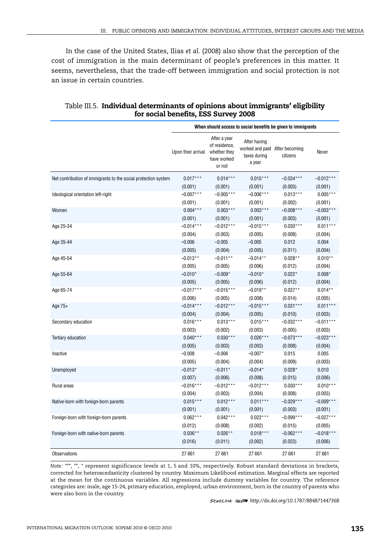In the case of the United States, Ilias *et al.* (2008) also show that the perception of the cost of immigration is the main determinant of people's preferences in this matter. It seems, nevertheless, that the trade-off between immigration and social protection is not an issue in certain countries.

|                                                                | When should access to social benefits be given to immigrants |                                                                        |                                                                          |             |             |
|----------------------------------------------------------------|--------------------------------------------------------------|------------------------------------------------------------------------|--------------------------------------------------------------------------|-------------|-------------|
|                                                                | Upon their arrival                                           | After a year<br>of residence,<br>whether they<br>have worked<br>or not | After having<br>worked and paid After becoming<br>taxes during<br>a year | citizens    | Never       |
| Net contribution of immigrants to the social protection system | $0.017***$                                                   | $0.014***$                                                             | $0.015***$                                                               | $-0.034***$ | $-0.012***$ |
|                                                                | (0.001)                                                      | (0.001)                                                                | (0.001)                                                                  | (0.003)     | (0.001)     |
| Ideological orientation left-right                             | $-0.007***$                                                  | $-0.005***$                                                            | $-0.006***$                                                              | $0.013***$  | $0.005***$  |
|                                                                | (0.001)                                                      | (0.001)                                                                | (0.001)                                                                  | (0.002)     | (0.001)     |
| Women                                                          | $0.004***$                                                   | $0.003***$                                                             | $0.003***$                                                               | $-0.008***$ | $-0.003***$ |
|                                                                | (0.001)                                                      | (0.001)                                                                | (0.001)                                                                  | (0.003)     | (0.001)     |
| Age 25-34                                                      | $-0.014***$                                                  | $-0.012***$                                                            | $-0.015***$                                                              | $0.030***$  | $0.011***$  |
|                                                                | (0.004)                                                      | (0.003)                                                                | (0.005)                                                                  | (0.008)     | (0.004)     |
| Age 35-44                                                      | $-0.006$                                                     | $-0.005$                                                               | $-0.005$                                                                 | 0.012       | 0.004       |
|                                                                | (0.005)                                                      | (0.004)                                                                | (0.005)                                                                  | (0.011)     | (0.004)     |
| Age 45-54                                                      | $-0.013**$                                                   | $-0.011**$                                                             | $-0.014**$                                                               | $0.028**$   | $0.010**$   |
|                                                                | (0.005)                                                      | (0.005)                                                                | (0.006)                                                                  | (0.012)     | (0.004)     |
| Age 55-64                                                      | $-0.010*$                                                    | $-0.009*$                                                              | $-0.010*$                                                                | $0.022*$    | $0.008*$    |
|                                                                | (0.005)                                                      | (0.005)                                                                | (0.006)                                                                  | (0.012)     | (0.004)     |
| Age 65-74                                                      | $-0.017***$                                                  | $-0.015***$                                                            | $-0.019**$                                                               | $0.037**$   | $0.014***$  |
|                                                                | (0.006)                                                      | (0.005)                                                                | (0.008)                                                                  | (0.014)     | (0.005)     |
| Age 75+                                                        | $-0.014***$                                                  | $-0.012***$                                                            | $-0.015***$                                                              | $0.031***$  | $0.011***$  |
|                                                                | (0.004)                                                      | (0.004)                                                                | (0.005)                                                                  | (0.010)     | (0.003)     |
| Secondary education                                            | $0.016***$                                                   | $0.013***$                                                             | $0.015***$                                                               | $-0.032***$ | $-0.011***$ |
|                                                                | (0.003)                                                      | (0.002)                                                                | (0.003)                                                                  | (0.005)     | (0.003)     |
| Tertiary education                                             | $0.040***$                                                   | $0.030***$                                                             | $0.026***$                                                               | $-0.073***$ | $-0.023***$ |
|                                                                | (0.005)                                                      | (0.003)                                                                | (0.003)                                                                  | (0.008)     | (0.004)     |
| Inactive                                                       | $-0.008$                                                     | $-0.006$                                                               | $-0.007*$                                                                | 0.015       | 0.005       |
|                                                                | (0.005)                                                      | (0.004)                                                                | (0.004)                                                                  | (0.009)     | (0.003)     |
| Unemployed                                                     | $-0.013*$                                                    | $-0.011*$                                                              | $-0.014*$                                                                | $0.028*$    | 0.010       |
|                                                                | (0.007)                                                      | (0.006)                                                                | (0.008)                                                                  | (0.015)     | (0.006)     |
| Rural areas                                                    | $-0.016***$                                                  | $-0.012***$                                                            | $-0.012***$                                                              | $0.030***$  | $0.010***$  |
|                                                                | (0.004)                                                      | (0.003)                                                                | (0.004)                                                                  | (0.008)     | (0.003)     |
| Native-born with foreign-born parents                          | $0.015***$                                                   | $0.012***$                                                             | $0.011***$                                                               | $-0.029***$ | $-0.009***$ |
|                                                                | (0.001)                                                      | (0.001)                                                                | (0.001)                                                                  | (0.003)     | (0.001)     |
| Foreign-born with foreign-born parents                         | $0.062***$                                                   | $0.042***$                                                             | $0.022***$                                                               | $-0.099***$ | $-0.027***$ |
|                                                                | (0.012)                                                      | (0.008)                                                                | (0.002)                                                                  | (0.015)     | (0.005)     |
| Foreign-born with native-born parents                          | $0.036**$                                                    | $0.026**$                                                              | $0.018***$                                                               | $-0.062***$ | $-0.018***$ |
|                                                                | (0.016)                                                      | (0.011)                                                                | (0.002)                                                                  | (0.023)     | (0.006)     |
| Observations                                                   | 27661                                                        | 27 661                                                                 | 27 661                                                                   | 27 661      | 27661       |

#### Table III.5. **Individual determinants of opinions about immigrants' eligibility for social benefits, ESS Survey 2008**

*Note:* \*\*\*, \*\*, \* represent significance levels at 1, 5 and 10%, respectively. Robust standard deviations in brackets, corrected for heteroscedasticity clustered by country. Maximum Likelihood estimation. Marginal effects are reported at the mean for the continuous variables. All regressions include dummy variables for country. The reference categories are: male, age 15-24, primary education, employed, urban environment, born in the country of parents who were also born in the country.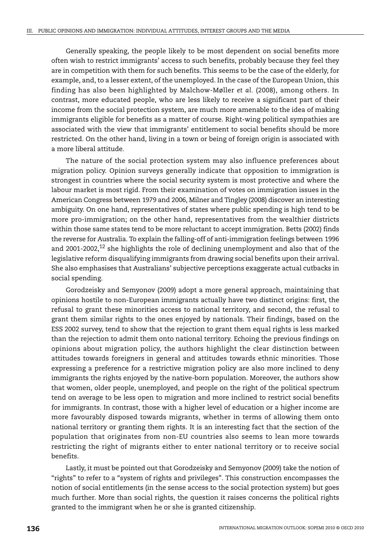Generally speaking, the people likely to be most dependent on social benefits more often wish to restrict immigrants' access to such benefits, probably because they feel they are in competition with them for such benefits. This seems to be the case of the elderly, for example, and, to a lesser extent, of the unemployed. In the case of the European Union, this finding has also been highlighted by Malchow-Møller *et al.* (2008), among others. In contrast, more educated people, who are less likely to receive a significant part of their income from the social protection system, are much more amenable to the idea of making immigrants eligible for benefits as a matter of course. Right-wing political sympathies are associated with the view that immigrants' entitlement to social benefits should be more restricted. On the other hand, living in a town or being of foreign origin is associated with a more liberal attitude.

The nature of the social protection system may also influence preferences about migration policy. Opinion surveys generally indicate that opposition to immigration is strongest in countries where the social security system is most protective and where the labour market is most rigid. From their examination of votes on immigration issues in the American Congress between 1979 and 2006, Milner and Tingley (2008) discover an interesting ambiguity. On one hand, representatives of states where public spending is high tend to be more pro-immigration; on the other hand, representatives from the wealthier districts within those same states tend to be more reluctant to accept immigration. Betts (2002) finds the reverse for Australia. To explain the falling-off of anti-immigration feelings between 1996 and 2001-2002, $12$  she highlights the role of declining unemployment and also that of the legislative reform disqualifying immigrants from drawing social benefits upon their arrival. She also emphasises that Australians' subjective perceptions exaggerate actual cutbacks in social spending.

Gorodzeisky and Semyonov (2009) adopt a more general approach, maintaining that opinions hostile to non-European immigrants actually have two distinct origins: first, the refusal to grant these minorities access to national territory, and second, the refusal to grant them similar rights to the ones enjoyed by nationals. Their findings, based on the ESS 2002 survey, tend to show that the rejection to grant them equal rights is less marked than the rejection to admit them onto national territory. Echoing the previous findings on opinions about migration policy, the authors highlight the clear distinction between attitudes towards foreigners in general and attitudes towards ethnic minorities. Those expressing a preference for a restrictive migration policy are also more inclined to deny immigrants the rights enjoyed by the native-born population. Moreover, the authors show that women, older people, unemployed, and people on the right of the political spectrum tend on average to be less open to migration and more inclined to restrict social benefits for immigrants. In contrast, those with a higher level of education or a higher income are more favourably disposed towards migrants, whether in terms of allowing them onto national territory or granting them rights. It is an interesting fact that the section of the population that originates from non-EU countries also seems to lean more towards restricting the right of migrants either to enter national territory or to receive social benefits.

Lastly, it must be pointed out that Gorodzeisky and Semyonov (2009) take the notion of "rights" to refer to a "system of rights and privileges". This construction encompasses the notion of social entitlements (in the sense access to the social protection system) but goes much further. More than social rights, the question it raises concerns the political rights granted to the immigrant when he or she is granted citizenship.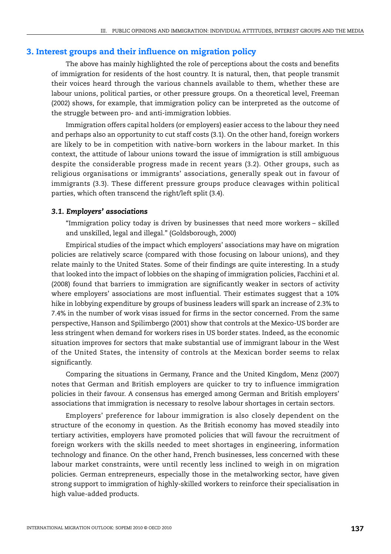# **3. Interest groups and their influence on migration policy**

The above has mainly highlighted the role of perceptions about the costs and benefits of immigration for residents of the host country. It is natural, then, that people transmit their voices heard through the various channels available to them, whether these are labour unions, political parties, or other pressure groups. On a theoretical level, Freeman (2002) shows, for example, that immigration policy can be interpreted as the outcome of the struggle between pro- and anti-immigration lobbies.

Immigration offers capital holders (or employers) easier access to the labour they need and perhaps also an opportunity to cut staff costs (3.1). On the other hand, foreign workers are likely to be in competition with native-born workers in the labour market. In this context, the attitude of labour unions toward the issue of immigration is still ambiguous despite the considerable progress made in recent years (3.2). Other groups, such as religious organisations or immigrants' associations, generally speak out in favour of immigrants (3.3). These different pressure groups produce cleavages within political parties, which often transcend the right/left split (3.4).

#### *3.1. Employers' associations*

"Immigration policy today is driven by businesses that need more workers – skilled and unskilled, legal and illegal." (Goldsborough, 2000)

Empirical studies of the impact which employers' associations may have on migration policies are relatively scarce (compared with those focusing on labour unions), and they relate mainly to the United States. Some of their findings are quite interesting. In a study that looked into the impact of lobbies on the shaping of immigration policies, Facchini *et al*. (2008) found that barriers to immigration are significantly weaker in sectors of activity where employers' associations are most influential. Their estimates suggest that a 10% hike in lobbying expenditure by groups of business leaders will spark an increase of 2.3% to 7.4% in the number of work visas issued for firms in the sector concerned. From the same perspective, Hanson and Spilimbergo (2001) show that controls at the Mexico-US border are less stringent when demand for workers rises in US border states. Indeed, as the economic situation improves for sectors that make substantial use of immigrant labour in the West of the United States, the intensity of controls at the Mexican border seems to relax significantly.

Comparing the situations in Germany, France and the United Kingdom, Menz (2007) notes that German and British employers are quicker to try to influence immigration policies in their favour. A consensus has emerged among German and British employers' associations that immigration is necessary to resolve labour shortages in certain sectors.

Employers' preference for labour immigration is also closely dependent on the structure of the economy in question. As the British economy has moved steadily into tertiary activities, employers have promoted policies that will favour the recruitment of foreign workers with the skills needed to meet shortages in engineering, information technology and finance. On the other hand, French businesses, less concerned with these labour market constraints, were until recently less inclined to weigh in on migration policies. German entrepreneurs, especially those in the metalworking sector, have given strong support to immigration of highly-skilled workers to reinforce their specialisation in high value-added products.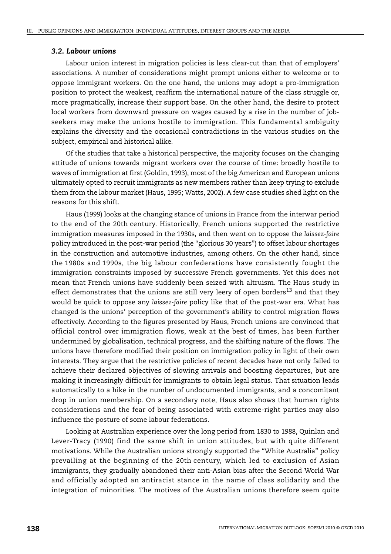#### *3.2. Labour unions*

Labour union interest in migration policies is less clear-cut than that of employers' associations. A number of considerations might prompt unions either to welcome or to oppose immigrant workers. On the one hand, the unions may adopt a pro-immigration position to protect the weakest, reaffirm the international nature of the class struggle or, more pragmatically, increase their support base. On the other hand, the desire to protect local workers from downward pressure on wages caused by a rise in the number of jobseekers may make the unions hostile to immigration. This fundamental ambiguity explains the diversity and the occasional contradictions in the various studies on the subject, empirical and historical alike.

Of the studies that take a historical perspective, the majority focuses on the changing attitude of unions towards migrant workers over the course of time: broadly hostile to waves of immigration at first (Goldin, 1993), most of the big American and European unions ultimately opted to recruit immigrants as new members rather than keep trying to exclude them from the labour market (Haus, 1995; Watts, 2002). A few case studies shed light on the reasons for this shift.

Haus (1999) looks at the changing stance of unions in France from the interwar period to the end of the 20th century. Historically, French unions supported the restrictive immigration measures imposed in the 1930s, and then went on to oppose the *laissez-faire* policy introduced in the post-war period (the "glorious 30 years") to offset labour shortages in the construction and automotive industries, among others. On the other hand, since the 1980s and 1990s, the big labour confederations have consistently fought the immigration constraints imposed by successive French governments. Yet this does not mean that French unions have suddenly been seized with altruism. The Haus study in effect demonstrates that the unions are still very leery of open borders $^{13}$  and that they would be quick to oppose any *laissez-faire* policy like that of the post-war era. What has changed is the unions' perception of the government's ability to control migration flows effectively. According to the figures presented by Haus, French unions are convinced that official control over immigration flows, weak at the best of times, has been further undermined by globalisation, technical progress, and the shifting nature of the flows. The unions have therefore modified their position on immigration policy in light of their own interests. They argue that the restrictive policies of recent decades have not only failed to achieve their declared objectives of slowing arrivals and boosting departures, but are making it increasingly difficult for immigrants to obtain legal status. That situation leads automatically to a hike in the number of undocumented immigrants, and a concomitant drop in union membership. On a secondary note, Haus also shows that human rights considerations and the fear of being associated with extreme-right parties may also influence the posture of some labour federations.

Looking at Australian experience over the long period from 1830 to 1988, Quinlan and Lever-Tracy (1990) find the same shift in union attitudes, but with quite different motivations. While the Australian unions strongly supported the "White Australia" policy prevailing at the beginning of the 20th century, which led to exclusion of Asian immigrants, they gradually abandoned their anti-Asian bias after the Second World War and officially adopted an antiracist stance in the name of class solidarity and the integration of minorities. The motives of the Australian unions therefore seem quite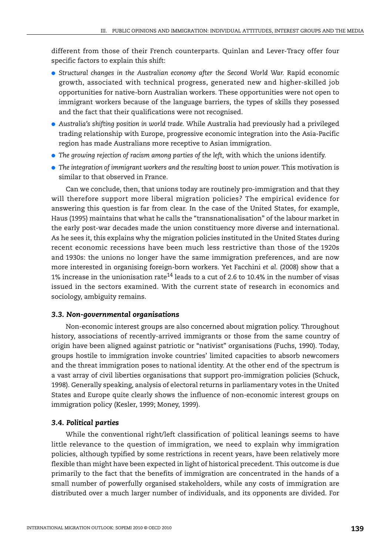different from those of their French counterparts. Quinlan and Lever-Tracy offer four specific factors to explain this shift:

- *Structural changes in the Australian economy after the Second World War.* Rapid economic growth, associated with technical progress, generated new and higher-skilled job opportunities for native-born Australian workers. These opportunities were not open to immigrant workers because of the language barriers, the types of skills they posessed and the fact that their qualifications were not recognised.
- *Australia's shifting position in world trade.* While Australia had previously had a privileged trading relationship with Europe, progressive economic integration into the Asia-Pacific region has made Australians more receptive to Asian immigration.
- *The growing rejection of racism among parties of the left,* with which the unions identify.
- *The integration of immigrant workers and the resulting boost to union power.* This motivation is similar to that observed in France.

Can we conclude, then, that unions today are routinely pro-immigration and that they will therefore support more liberal migration policies? The empirical evidence for answering this question is far from clear. In the case of the United States, for example, Haus (1995) maintains that what he calls the "transnationalisation" of the labour market in the early post-war decades made the union constituency more diverse and international. As he sees it, this explains why the migration policies instituted in the United States during recent economic recessions have been much less restrictive than those of the 1920s and 1930s: the unions no longer have the same immigration preferences, and are now more interested in organising foreign-born workers. Yet Facchini *et al*. (2008) show that a 1% increase in the unionisation rate<sup>14</sup> leads to a cut of 2.6 to 10.4% in the number of visas issued in the sectors examined. With the current state of research in economics and sociology, ambiguity remains.

#### *3.3. Non-governmental organisations*

Non-economic interest groups are also concerned about migration policy. Throughout history, associations of recently-arrived immigrants or those from the same country of origin have been aligned against patriotic or "nativist" organisations (Fuchs, 1990). Today, groups hostile to immigration invoke countries' limited capacities to absorb newcomers and the threat immigration poses to national identity. At the other end of the spectrum is a vast array of civil liberties organisations that support pro-immigration policies (Schuck, 1998). Generally speaking, analysis of electoral returns in parliamentary votes in the United States and Europe quite clearly shows the influence of non-economic interest groups on immigration policy (Kesler, 1999; Money, 1999).

#### *3.4. Political parties*

While the conventional right/left classification of political leanings seems to have little relevance to the question of immigration, we need to explain why immigration policies, although typified by some restrictions in recent years, have been relatively more flexible than might have been expected in light of historical precedent. This outcome is due primarily to the fact that the benefits of immigration are concentrated in the hands of a small number of powerfully organised stakeholders, while any costs of immigration are distributed over a much larger number of individuals, and its opponents are divided. For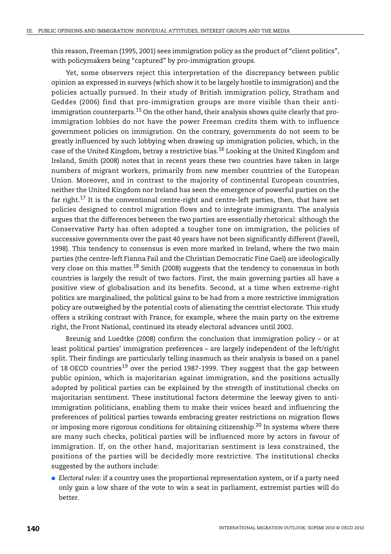this reason, Freeman (1995, 2001) sees immigration policy as the product of "client politics", with policymakers being "captured" by pro-immigration groups.

Yet, some observers reject this interpretation of the discrepancy between public opinion as expressed in surveys (which show it to be largely hostile to immigration) and the policies actually pursued. In their study of British immigration policy, Stratham and Geddes (2006) find that pro-immigration groups are more visible than their antiimmigration counterparts.<sup>15</sup> On the other hand, their analysis shows quite clearly that proimmigration lobbies do not have the power Freeman credits them with to influence government policies on immigration. On the contrary, governments do not seem to be greatly influenced by such lobbying when drawing up immigration policies, which, in the case of the United Kingdom, betray a restrictive bias.16 Looking at the United Kingdom and Ireland, Smith (2008) notes that in recent years these two countries have taken in large numbers of migrant workers, primarily from new member countries of the European Union. Moreover, and in contrast to the majority of continental European countries, neither the United Kingdom nor Ireland has seen the emergence of powerful parties on the far right.<sup>17</sup> It is the conventional centre-right and centre-left parties, then, that have set policies designed to control migration flows and to integrate immigrants. The analysis argues that the differences between the two parties are essentially rhetorical: although the Conservative Party has often adopted a tougher tone on immigration, the policies of successive governments over the past 40 years have not been significantly different (Favell, 1998). This tendency to consensus is even more marked in Ireland, where the two main parties (the centre-left Fianna Fail and the Christian Democratic Fine Gael) are ideologically very close on this matter.<sup>18</sup> Smith (2008) suggests that the tendency to consensus in both countries is largely the result of two factors. First, the main governing parties all have a positive view of globalisation and its benefits. Second, at a time when extreme-right politics are marginalised, the political gains to be had from a more restrictive immigration policy are outweighed by the potential costs of alienating the centrist electorate. This study offers a striking contrast with France, for example, where the main party on the extreme right, the Front National, continued its steady electoral advances until 2002.

Breunig and Luedtke (2008) confirm the conclusion that immigration policy – or at least political parties' immigration preferences – are largely independent of the left/right split. Their findings are particularly telling inasmuch as their analysis is based on a panel of 18 OECD countries<sup>19</sup> over the period 1987-1999. They suggest that the gap between public opinion, which is majoritarian against immigration, and the positions actually adopted by political parties can be explained by the strength of institutional checks on majoritarian sentiment. These institutional factors determine the leeway given to antiimmigration politicians, enabling them to make their voices heard and influencing the preferences of political parties towards embracing greater restrictions on migration flows or imposing more rigorous conditions for obtaining citizenship.<sup>20</sup> In systems where there are many such checks, political parties will be influenced more by actors in favour of immigration. If, on the other hand, majoritarian sentiment is less constrained, the positions of the parties will be decidedly more restrictive. The institutional checks suggested by the authors include:

● *Electoral rules*: if a country uses the proportional representation system, or if a party need only gain a low share of the vote to win a seat in parliament, extremist parties will do better.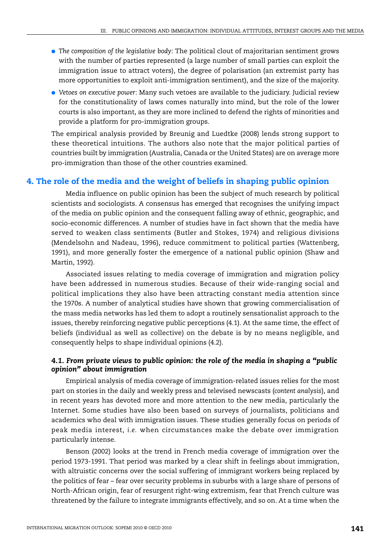- *The composition of the legislative body*: The political clout of majoritarian sentiment grows with the number of parties represented (a large number of small parties can exploit the immigration issue to attract voters), the degree of polarisation (an extremist party has more opportunities to exploit anti-immigration sentiment), and the size of the majority.
- *Vetoes on executive power*: Many such vetoes are available to the judiciary. Judicial review for the constitutionality of laws comes naturally into mind, but the role of the lower courts is also important, as they are more inclined to defend the rights of minorities and provide a platform for pro-immigration groups.

The empirical analysis provided by Breunig and Luedtke (2008) lends strong support to these theoretical intuitions. The authors also note that the major political parties of countries built by immigration (Australia, Canada or the United States) are on average more pro-immigration than those of the other countries examined.

# **4. The role of the media and the weight of beliefs in shaping public opinion**

Media influence on public opinion has been the subject of much research by political scientists and sociologists. A consensus has emerged that recognises the unifying impact of the media on public opinion and the consequent falling away of ethnic, geographic, and socio-economic differences. A number of studies have in fact shown that the media have served to weaken class sentiments (Butler and Stokes, 1974) and religious divisions (Mendelsohn and Nadeau, 1996), reduce commitment to political parties (Wattenberg, 1991), and more generally foster the emergence of a national public opinion (Shaw and Martin, 1992).

Associated issues relating to media coverage of immigration and migration policy have been addressed in numerous studies. Because of their wide-ranging social and political implications they also have been attracting constant media attention since the 1970s. A number of analytical studies have shown that growing commercialisation of the mass media networks has led them to adopt a routinely sensationalist approach to the issues, thereby reinforcing negative public perceptions (4.1). At the same time, the effect of beliefs (individual as well as collective) on the debate is by no means negligible, and consequently helps to shape individual opinions (4.2).

## *4.1. From private views to public opinion: the role of the media in shaping a "public opinion" about immigration*

Empirical analysis of media coverage of immigration-related issues relies for the most part on stories in the daily and weekly press and televised newscasts (*content analysis*), and in recent years has devoted more and more attention to the new media, particularly the Internet. Some studies have also been based on surveys of journalists, politicians and academics who deal with immigration issues. These studies generally focus on periods of peak media interest, *i.e.* when circumstances make the debate over immigration particularly intense.

Benson (2002) looks at the trend in French media coverage of immigration over the period 1973-1991. That period was marked by a clear shift in feelings about immigration, with altruistic concerns over the social suffering of immigrant workers being replaced by the politics of fear – fear over security problems in suburbs with a large share of persons of North-African origin, fear of resurgent right-wing extremism, fear that French culture was threatened by the failure to integrate immigrants effectively, and so on. At a time when the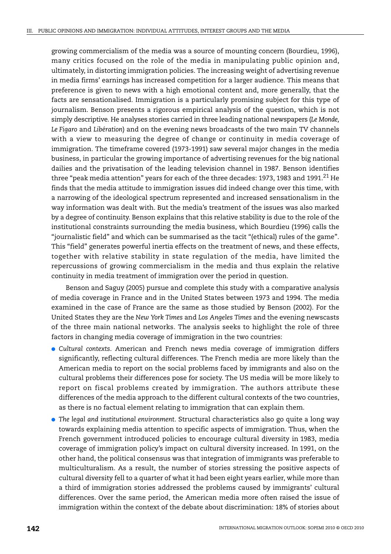growing commercialism of the media was a source of mounting concern (Bourdieu, 1996), many critics focused on the role of the media in manipulating public opinion and, ultimately, in distorting immigration policies. The increasing weight of advertising revenue in media firms' earnings has increased competition for a larger audience. This means that preference is given to news with a high emotional content and, more generally, that the facts are sensationalised. Immigration is a particularly promising subject for this type of journalism. Benson presents a rigorous empirical analysis of the question, which is not simply descriptive. He analyses stories carried in three leading national newspapers (*Le Monde, Le Figaro* and *Libération*) and on the evening news broadcasts of the two main TV channels with a view to measuring the degree of change or continuity in media coverage of immigration. The timeframe covered (1973-1991) saw several major changes in the media business, in particular the growing importance of advertising revenues for the big national dailies and the privatisation of the leading television channel in 1987. Benson identifies three "peak media attention" years for each of the three decades: 1973, 1983 and 1991.<sup>21</sup> He finds that the media attitude to immigration issues did indeed change over this time, with a narrowing of the ideological spectrum represented and increased sensationalism in the way information was dealt with. But the media's treatment of the issues was also marked by a degree of continuity. Benson explains that this relative stability is due to the role of the institutional constraints surrounding the media business, which Bourdieu (1996) calls the "journalistic field" and which can be summarised as the tacit "(ethical) rules of the game". This "field" generates powerful inertia effects on the treatment of news, and these effects, together with relative stability in state regulation of the media, have limited the repercussions of growing commercialism in the media and thus explain the relative continuity in media treatment of immigration over the period in question.

Benson and Saguy (2005) pursue and complete this study with a comparative analysis of media coverage in France and in the United States between 1973 and 1994. The media examined in the case of France are the same as those studied by Benson (2002). For the United States they are the *New York Times* and *Los Angeles Times* and the evening newscasts of the three main national networks. The analysis seeks to highlight the role of three factors in changing media coverage of immigration in the two countries:

- *Cultural contexts*. American and French news media coverage of immigration differs significantly, reflecting cultural differences. The French media are more likely than the American media to report on the social problems faced by immigrants and also on the cultural problems their differences pose for society. The US media will be more likely to report on fiscal problems created by immigration. The authors attribute these differences of the media approach to the different cultural contexts of the two countries, as there is no factual element relating to immigration that can explain them.
- *The legal and institutional environment*. Structural characteristics also go quite a long way towards explaining media attention to specific aspects of immigration. Thus, when the French government introduced policies to encourage cultural diversity in 1983, media coverage of immigration policy's impact on cultural diversity increased. In 1991, on the other hand, the political consensus was that integration of immigrants was preferable to multiculturalism. As a result, the number of stories stressing the positive aspects of cultural diversity fell to a quarter of what it had been eight years earlier, while more than a third of immigration stories addressed the problems caused by immigrants' cultural differences. Over the same period, the American media more often raised the issue of immigration within the context of the debate about discrimination: 18% of stories about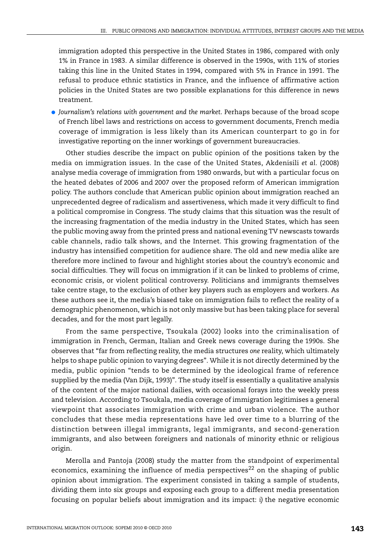immigration adopted this perspective in the United States in 1986, compared with only 1% in France in 1983. A similar difference is observed in the 1990s, with 11% of stories taking this line in the United States in 1994, compared with 5% in France in 1991. The refusal to produce ethnic statistics in France, and the influence of affirmative action policies in the United States are two possible explanations for this difference in news treatment.

● *Journalism's relations with government and the market*. Perhaps because of the broad scope of French libel laws and restrictions on access to government documents, French media coverage of immigration is less likely than its American counterpart to go in for investigative reporting on the inner workings of government bureaucracies.

Other studies describe the impact on public opinion of the positions taken by the media on immigration issues. In the case of the United States, Akdenisili *et al*. (2008) analyse media coverage of immigration from 1980 onwards, but with a particular focus on the heated debates of 2006 and 2007 over the proposed reform of American immigration policy. The authors conclude that American public opinion about immigration reached an unprecedented degree of radicalism and assertiveness, which made it very difficult to find a political compromise in Congress. The study claims that this situation was the result of the increasing fragmentation of the media industry in the United States, which has seen the public moving away from the printed press and national evening TV newscasts towards cable channels, radio talk shows, and the Internet. This growing fragmentation of the industry has intensified competition for audience share. The old and new media alike are therefore more inclined to favour and highlight stories about the country's economic and social difficulties. They will focus on immigration if it can be linked to problems of crime, economic crisis, or violent political controversy. Politicians and immigrants themselves take centre stage, to the exclusion of other key players such as employers and workers. As these authors see it, the media's biased take on immigration fails to reflect the reality of a demographic phenomenon, which is not only massive but has been taking place for several decades, and for the most part legally.

From the same perspective, Tsoukala (2002) looks into the criminalisation of immigration in French, German, Italian and Greek news coverage during the 1990s. She observes that "far from reflecting reality, the media structures *one* reality, which ultimately helps to shape public opinion to varying degrees". While it is not directly determined by the media, public opinion "tends to be determined by the ideological frame of reference supplied by the media (Van Dijk, 1993)". The study itself is essentially a qualitative analysis of the content of the major national dailies, with occasional forays into the weekly press and television. According to Tsoukala, media coverage of immigration legitimises a general viewpoint that associates immigration with crime and urban violence. The author concludes that these media representations have led over time to a blurring of the distinction between illegal immigrants, legal immigrants, and second-generation immigrants, and also between foreigners and nationals of minority ethnic or religious origin.

Merolla and Pantoja (2008) study the matter from the standpoint of experimental economics, examining the influence of media perspectives<sup>22</sup> on the shaping of public opinion about immigration. The experiment consisted in taking a sample of students, dividing them into six groups and exposing each group to a different media presentation focusing on popular beliefs about immigration and its impact: *i)* the negative economic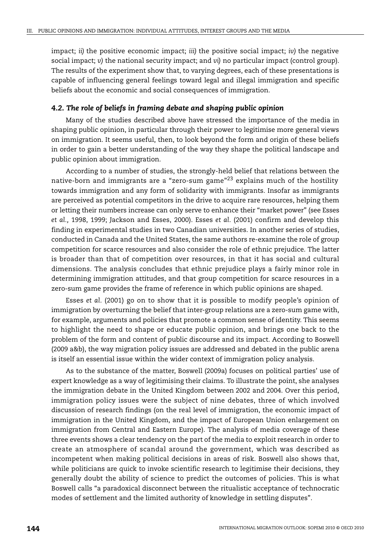impact; *ii)* the positive economic impact; *iii)* the positive social impact; *iv)* the negative social impact; *v)* the national security impact; and *vi)* no particular impact (control group). The results of the experiment show that, to varying degrees, each of these presentations is capable of influencing general feelings toward legal and illegal immigration and specific beliefs about the economic and social consequences of immigration.

### *4.2. The role of beliefs in framing debate and shaping public opinion*

Many of the studies described above have stressed the importance of the media in shaping public opinion, in particular through their power to legitimise more general views on immigration. It seems useful, then, to look beyond the form and origin of these beliefs in order to gain a better understanding of the way they shape the political landscape and public opinion about immigration.

According to a number of studies, the strongly-held belief that relations between the native-born and immigrants are a "zero-sum game"<sup>23</sup> explains much of the hostility towards immigration and any form of solidarity with immigrants. Insofar as immigrants are perceived as potential competitors in the drive to acquire rare resources, helping them or letting their numbers increase can only serve to enhance their "market power" (see Esses *et al.,* 1998, 1999; Jackson and Esses, 2000). Esses *et al*. (2001) confirm and develop this finding in experimental studies in two Canadian universities. In another series of studies, conducted in Canada and the United States, the same authors re-examine the role of group competition for scarce resources and also consider the role of ethnic prejudice. The latter is broader than that of competition over resources, in that it has social and cultural dimensions. The analysis concludes that ethnic prejudice plays a fairly minor role in determining immigration attitudes, and that group competition for scarce resources in a zero-sum game provides the frame of reference in which public opinions are shaped.

Esses *et al*. (2001) go on to show that it is possible to modify people's opinion of immigration by overturning the belief that inter-group relations are a zero-sum game with, for example, arguments and policies that promote a common sense of identity. This seems to highlight the need to shape or educate public opinion, and brings one back to the problem of the form and content of public discourse and its impact. According to Boswell (2009 a&b), the way migration policy issues are addressed and debated in the public arena is itself an essential issue within the wider context of immigration policy analysis.

As to the substance of the matter, Boswell (2009a) focuses on political parties' use of expert knowledge as a way of legitimising their claims. To illustrate the point, she analyses the immigration debate in the United Kingdom between 2002 and 2004. Over this period, immigration policy issues were the subject of nine debates, three of which involved discussion of research findings (on the real level of immigration, the economic impact of immigration in the United Kingdom, and the impact of European Union enlargement on immigration from Central and Eastern Europe). The analysis of media coverage of these three events shows a clear tendency on the part of the media to exploit research in order to create an atmosphere of scandal around the government, which was described as incompetent when making political decisions in areas of risk. Boswell also shows that, while politicians are quick to invoke scientific research to legitimise their decisions, they generally doubt the ability of science to predict the outcomes of policies. This is what Boswell calls "a paradoxical disconnect between the ritualistic acceptance of technocratic modes of settlement and the limited authority of knowledge in settling disputes".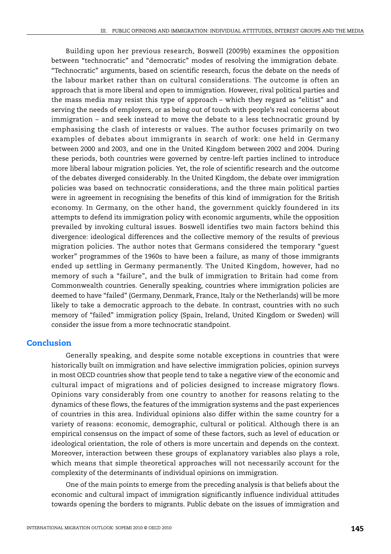Building upon her previous research, Boswell (2009b) examines the opposition between "technocratic" and "democratic" modes of resolving the immigration debate. "Technocratic" arguments, based on scientific research, focus the debate on the needs of the labour market rather than on cultural considerations. The outcome is often an approach that is more liberal and open to immigration. However, rival political parties and the mass media may resist this type of approach – which they regard as "elitist" and serving the needs of employers, or as being out of touch with people's real concerns about immigration – and seek instead to move the debate to a less technocratic ground by emphasising the clash of interests or values. The author focuses primarily on two examples of debates about immigrants in search of work: one held in Germany between 2000 and 2003, and one in the United Kingdom between 2002 and 2004. During these periods, both countries were governed by centre-left parties inclined to introduce more liberal labour migration policies. Yet, the role of scientific research and the outcome of the debates diverged considerably. In the United Kingdom, the debate over immigration policies was based on technocratic considerations, and the three main political parties were in agreement in recognising the benefits of this kind of immigration for the British economy. In Germany, on the other hand, the government quickly foundered in its attempts to defend its immigration policy with economic arguments, while the opposition prevailed by invoking cultural issues. Boswell identifies two main factors behind this divergence: ideological differences and the collective memory of the results of previous migration policies. The author notes that Germans considered the temporary "guest worker" programmes of the 1960s to have been a failure, as many of those immigrants ended up settling in Germany permanently. The United Kingdom, however, had no memory of such a "failure", and the bulk of immigration to Britain had come from Commonwealth countries. Generally speaking, countries where immigration policies are deemed to have "failed" (Germany, Denmark, France, Italy or the Netherlands) will be more likely to take a democratic approach to the debate. In contrast, countries with no such memory of "failed" immigration policy (Spain, Ireland, United Kingdom or Sweden) will consider the issue from a more technocratic standpoint.

#### **Conclusion**

Generally speaking, and despite some notable exceptions in countries that were historically built on immigration and have selective immigration policies, opinion surveys in most OECD countries show that people tend to take a negative view of the economic and cultural impact of migrations and of policies designed to increase migratory flows. Opinions vary considerably from one country to another for reasons relating to the dynamics of these flows, the features of the immigration systems and the past experiences of countries in this area. Individual opinions also differ within the same country for a variety of reasons: economic, demographic, cultural or political. Although there is an empirical consensus on the impact of some of these factors, such as level of education or ideological orientation, the role of others is more uncertain and depends on the context. Moreover, interaction between these groups of explanatory variables also plays a role, which means that simple theoretical approaches will not necessarily account for the complexity of the determinants of individual opinions on immigration.

One of the main points to emerge from the preceding analysis is that beliefs about the economic and cultural impact of immigration significantly influence individual attitudes towards opening the borders to migrants. Public debate on the issues of immigration and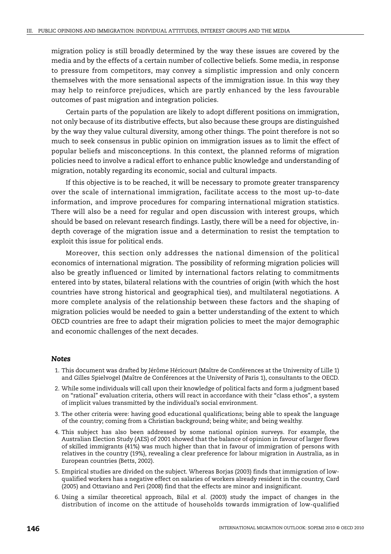migration policy is still broadly determined by the way these issues are covered by the media and by the effects of a certain number of collective beliefs. Some media, in response to pressure from competitors, may convey a simplistic impression and only concern themselves with the more sensational aspects of the immigration issue. In this way they may help to reinforce prejudices, which are partly enhanced by the less favourable outcomes of past migration and integration policies.

Certain parts of the population are likely to adopt different positions on immigration, not only because of its distributive effects, but also because these groups are distinguished by the way they value cultural diversity, among other things. The point therefore is not so much to seek consensus in public opinion on immigration issues as to limit the effect of popular beliefs and misconceptions. In this context, the planned reforms of migration policies need to involve a radical effort to enhance public knowledge and understanding of migration, notably regarding its economic, social and cultural impacts.

If this objective is to be reached, it will be necessary to promote greater transparency over the scale of international immigration, facilitate access to the most up-to-date information, and improve procedures for comparing international migration statistics. There will also be a need for regular and open discussion with interest groups, which should be based on relevant research findings. Lastly, there will be a need for objective, indepth coverage of the migration issue and a determination to resist the temptation to exploit this issue for political ends.

Moreover, this section only addresses the national dimension of the political economics of international migration. The possibility of reforming migration policies will also be greatly influenced or limited by international factors relating to commitments entered into by states, bilateral relations with the countries of origin (with which the host countries have strong historical and geographical ties), and multilateral negotiations. A more complete analysis of the relationship between these factors and the shaping of migration policies would be needed to gain a better understanding of the extent to which OECD countries are free to adapt their migration policies to meet the major demographic and economic challenges of the next decades.

#### *Notes*

- 1. This document was drafted by Jérôme Héricourt (Maître de Conférences at the University of Lille 1) and Gilles Spielvogel (Maître de Conférences at the University of Paris 1), consultants to the OECD.
- 2. While some individuals will call upon their knowledge of political facts and form a judgment based on "rational" evaluation criteria, others will react in accordance with their "class ethos", a system of implicit values transmitted by the individual's social environment.
- 3. The other criteria were: having good educational qualifications; being able to speak the language of the country; coming from a Christian background; being white; and being wealthy.
- 4. This subject has also been addressed by some national opinion surveys. For example, the Australian Election Study (AES) of 2001 showed that the balance of opinion in favour of larger flows of skilled immigrants (41%) was much higher than that in favour of immigration of persons with relatives in the country (19%), revealing a clear preference for labour migration in Australia, as in European countries (Betts, 2002).
- 5. Empirical studies are divided on the subject. Whereas Borjas (2003) finds that immigration of lowqualified workers has a negative effect on salaries of workers already resident in the country, Card (2005) and Ottaviano and Peri (2008) find that the effects are minor and insignificant.
- 6. Using a similar theoretical approach, Bilal *et al.* (2003) study the impact of changes in the distribution of income on the attitude of households towards immigration of low-qualified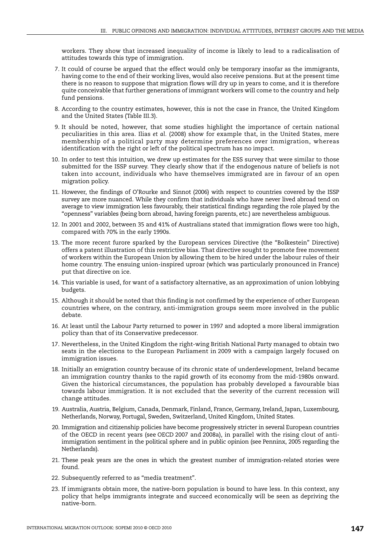workers. They show that increased inequality of income is likely to lead to a radicalisation of attitudes towards this type of immigration.

- 7. It could of course be argued that the effect would only be temporary insofar as the immigrants, having come to the end of their working lives, would also receive pensions. But at the present time there is no reason to suppose that migration flows will dry up in years to come, and it is therefore quite conceivable that further generations of immigrant workers will come to the country and help fund pensions.
- 8. According to the country estimates, however, this is not the case in France, the United Kingdom and the United States (Table III.3).
- 9. It should be noted, however, that some studies highlight the importance of certain national peculiarities in this area. Ilias *et al.* (2008) show for example that, in the United States, mere membership of a political party may determine preferences over immigration, whereas identification with the right or left of the political spectrum has no impact.
- 10. In order to test this intuition, we drew up estimates for the ESS survey that were similar to those submitted for the ISSP survey. They clearly show that if the endogenous nature of beliefs is not taken into account, individuals who have themselves immigrated are in favour of an open migration policy.
- 11. However, the findings of O'Rourke and Sinnot (2006) with respect to countries covered by the ISSP survey are more nuanced. While they confirm that individuals who have never lived abroad tend on average to view immigration less favourably, their statistical findings regarding the role played by the "openness" variables (being born abroad, having foreign parents, etc.) are nevertheless ambiguous.
- 12. In 2001 and 2002, between 35 and 41% of Australians stated that immigration flows were too high, compared with 70% in the early 1990s.
- 13. The more recent furore sparked by the European services Directive (the "Bolkestein" Directive) offers a patent illustration of this restrictive bias. That directive sought to promote free movement of workers within the European Union by allowing them to be hired under the labour rules of their home country. The ensuing union-inspired uproar (which was particularly pronounced in France) put that directive on ice.
- 14. This variable is used, for want of a satisfactory alternative, as an approximation of union lobbying budgets.
- 15. Although it should be noted that this finding is not confirmed by the experience of other European countries where, on the contrary, anti-immigration groups seem more involved in the public debate.
- 16. At least until the Labour Party returned to power in 1997 and adopted a more liberal immigration policy than that of its Conservative predecessor.
- 17. Nevertheless, in the United Kingdom the right-wing British National Party managed to obtain two seats in the elections to the European Parliament in 2009 with a campaign largely focused on immigration issues.
- 18. Initially an emigration country because of its chronic state of underdevelopment, Ireland became an immigration country thanks to the rapid growth of its economy from the mid-1980s onward. Given the historical circumstances, the population has probably developed a favourable bias towards labour immigration. It is not excluded that the severity of the current recession will change attitudes.
- 19. Australia, Austria, Belgium, Canada, Denmark, Finland, France, Germany, Ireland, Japan, Luxembourg, Netherlands, Norway, Portugal, Sweden, Switzerland, United Kingdom, United States.
- 20. Immigration and citizenship policies have become progressively stricter in several European countries of the OECD in recent years (see OECD 2007 and 2008a), in parallel with the rising clout of antiimmigration sentiment in the political sphere and in public opinion (see Penninx, 2005 regarding the Netherlands).
- 21. These peak years are the ones in which the greatest number of immigration-related stories were found.
- 22. Subsequently referred to as "media treatment".
- 23. If immigrants obtain more, the native-born population is bound to have less. In this context, any policy that helps immigrants integrate and succeed economically will be seen as depriving the native-born.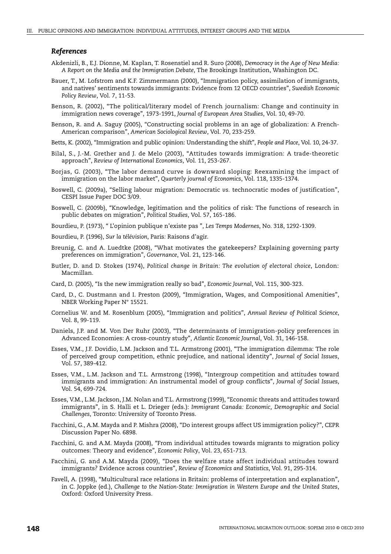#### *References*

- Akdenizli, B., E.J. Dionne, M. Kaplan, T. Rosenstiel and R. Suro (2008), *Democracy in the Age of New Media: A Report on the Media and the Immigration Debate*, The Brookings Institution, Washington DC.
- Bauer, T., M. Lofstrom and K.F. Zimmermann (2000), "Immigration policy, assimilation of immigrants, and natives' sentiments towards immigrants: Evidence from 12 OECD countries", *Swedish Economic Policy Review*, Vol. 7, 11-53.
- Benson, R. (2002), "The political/literary model of French journalism: Change and continuity in immigration news coverage", 1973-1991, *Journal of European Area Studies*, Vol. 10, 49-70.
- Benson, R. and A. Saguy (2005), "Constructing social problems in an age of globalization: A French-American comparison", *American Sociological Review*, Vol. 70, 233-259.
- Betts, K. (2002), "Immigration and public opinion: Understanding the shift", *People and Place*, Vol. 10, 24-37.
- Bilal, S., J.-M. Grether and J. de Melo (2003), "Attitudes towards immigration: A trade-theoretic approach", *Review of International Economics*, Vol. 11, 253-267.
- Borjas, G. (2003), "The labor demand curve is downward sloping: Reexamining the impact of immigration on the labor market", *Quarterly journal of Economics*, Vol. 118, 1335-1374.
- Boswell, C. (2009a), "Selling labour migration: Democratic *vs.* technocratic modes of justification", CESPI Issue Paper DOC 3/09.
- Boswell, C. (2009b), "Knowledge, legitimation and the politics of risk: The functions of research in public debates on migration", *Political Studies*, Vol. 57, 165-186.
- Bourdieu, P. (1973), " L'opinion publique n'existe pas ", *Les Temps Modernes*, No. 318, 1292-1309.
- Bourdieu, P. (1996), *Sur la télévision*, Paris*:* Raisons d'agir.
- Breunig, C. and A. Luedtke (2008), "What motivates the gatekeepers? Explaining governing party preferences on immigration", *Governance*, Vol. 21, 123-146.
- Butler, D. and D. Stokes (1974), *Political change in Britain: The evolution of electoral choice*, London: Macmillan.
- Card, D. (2005), "Is the new immigration really so bad", *Economic Journal*, Vol. 115, 300-323.
- Card, D., C. Dustmann and I. Preston (2009), "Immigration, Wages, and Compositional Amenities", NBER Working Paper N° 15521.
- Cornelius W. and M. Rosenblum (2005), "Immigration and politics", *Annual Review of Political Science*, Vol. 8, 99-119.
- Daniels, J.P. and M. Von Der Ruhr (2003), "The determinants of immigration-policy preferences in Advanced Economies: A cross-country study", *Atlantic Economic Journal*, Vol. 31, 146-158.
- Esses, V.M., J.F. Dovidio, L.M. Jackson and T.L. Armstrong (2001), "The immigration dilemma: The role of perceived group competition, ethnic prejudice, and national identity", *Journal of Social Issues*, Vol. 57, 389-412.
- Esses, V.M., L.M. Jackson and T.L. Armstrong (1998), "Intergroup competition and attitudes toward immigrants and immigration: An instrumental model of group conflicts", *Journal of Social Issues*, Vol. 54, 699-724.
- Esses, V.M., L.M. Jackson, J.M. Nolan and T.L. Armstrong (1999), "Economic threats and attitudes toward immigrants", in S. Halli et L. Drieger (eds.): *Immigrant Canada: Economic, Demographic and Social Challenges*, Toronto: University of Toronto Press.
- Facchini, G., A.M. Mayda and P. Mishra (2008), "Do interest groups affect US immigration policy?", CEPR Discussion Paper No. 6898.
- Facchini, G. and A.M. Mayda (2008), "From individual attitudes towards migrants to migration policy outcomes: Theory and evidence", *Economic Policy*, Vol. 23, 651-713.
- Facchini, G. and A.M. Mayda (2009), "Does the welfare state affect individual attitudes toward immigrants? Evidence across countries", *Review of Economics and Statistics*, Vol. 91, 295-314.
- Favell, A. (1998), "Multicultural race relations in Britain: problems of interpretation and explanation", in C. Joppke (ed.), *Challenge to the Nation-State: Immigration in Western Europe and the United States*, Oxford: Oxford University Press.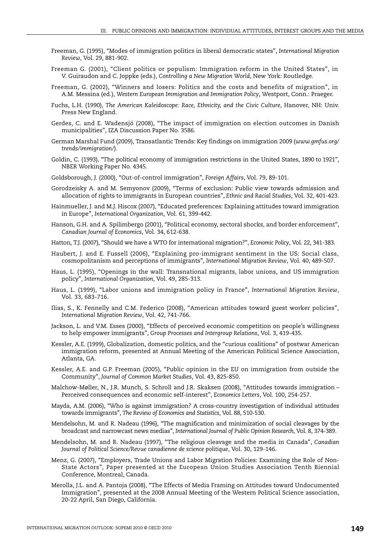- Freeman, G. (1995), "Modes of immigration politics in liberal democratic states", *International Migration Review*, Vol. 29, 881-902.
- Freeman G. (2001), "Client politics or populism: Immigration reform in the United States", in V. Guiraudon and C. Joppke (eds.), *Controlling a New Migration World*, New York: Routledge.
- Freeman, G. (2002), "Winners and losers: Politics and the costs and benefits of migration", in A.M. Messina (ed.), *Western European Immigration and Immigration Policy*, Westport, Conn.: Praeger.
- Fuchs, L.H. (1990), *The American Kaleidoscope: Race, Ethnicity, and the Civic Culture*, Hanover, NH: Univ. Press New England.
- Gerdes, C. and E. Wadensjö (2008), "The impact of immigration on election outcomes in Danish municipalities", IZA Discussion Paper No. 3586.
- German Marshal Fund (2009), Transatlantic Trends: Key findings on immigration 2009 (*[www.gmfus.org/](http://www.gmfus.org/trends/immigration/) [trends/immigration/](http://www.gmfus.org/trends/immigration/)*).
- Goldin, C. (1993), "The political economy of immigration restrictions in the United States, 1890 to 1921", NBER Working Paper No. 4345.
- Goldsborough, J. (2000), "Out-of-control immigration", *Foreign Affairs*, Vol. 79, 89-101.
- Gorodzeisky A. and M. Semyonov (2009), "Terms of exclusion: Public view towards admission and allocation of rights to immigrants in European countries", *Ethnic and Racial Studies*, Vol. 32, 401-423.
- Hainmueller, J. and M.J. Hiscox (2007), "Educated preferences: Explaining attitudes toward immigration in Europe", *International Organization*, Vol. 61, 399-442.
- Hanson, G.H. and A. Spilimbergo (2001), "Political economy, sectoral shocks, and border enforcement", *Canadian Journal of Economics*, Vol. 34, 612-638.
- Hatton, T.J. (2007), "Should we have a WTO for international migration?", *Economic Policy*, Vol. 22, 341-383.
- Haubert, J. and E. Fussell (2006), "Explaining pro-immigrant sentiment in the US: Social class, cosmopolitanism and perceptions of immigrants", *International Migration Review*, Vol. 40, 489-507.
- Haus, L. (1995), "Openings in the wall: Transnational migrants, labor unions, and US immigration policy", *International Organization*, Vol. 49, 285-313.
- Haus, L. (1999), "Labor unions and immigration policy in France", *International Migration Review*, Vol. 33, 683-716.
- Ilias, S., K. Fennelly and C.M. Federico (2008), "American attitudes toward guest worker policies", *International Migration Review*, Vol. 42, 741-766.
- Jackson, L. and V.M. Esses (2000), "Effects of perceived economic competition on people's willingness to help empower immigrants", *Group Processes and Intergroup Relations*, Vol. 3, 419-435.
- Kessler, A.E. (1999), Globalization, domestic politics, and the "curious coalitions" of postwar American immigration reform, presented at Annual Meeting of the American Political Science Association, Atlanta, GA.
- Kessler, A.E. and G.P. Freeman (2005), "Public opinion in the EU on immigration from outside the Community", *Journal of Common Market Studies*, Vol. 43, 825-850.
- Malchow-Møller, N., J.R. Munch, S. Schroll and J.R. Skaksen (2008), "Attitudes towards immigration Perceived consequences and economic self-interest", *Economics Letters*, Vol. 100, 254-257.
- Mayda, A.M. (2006), "Who is against immigration? A cross-country investigation of individual attitudes towards immigrants", *The Review of Economics and Statistics*, Vol. 88, 510-530.
- Mendelsohn, M. and R. Nadeau (1996), "The magnification and minimization of social cleavages by the broadcast and narrowcast news medias", *International Journal of Public Opinion Research*, Vol. 8, 374-389.
- Mendelsohn, M. and R. Nadeau (1997), "The religious cleavage and the media in Canada", *Canadian Journal of Political Science/Revue canadienne de science politique*, Vol. 30, 129-146.
- Menz, G. (2007), "Employers, Trade Unions and Labor Migration Policies: Examining the Role of Non-State Actors", Paper presented at the European Union Studies Association Tenth Biennial Conference, Montreal, Canada.
- Merolla, J.L. and A. Pantoja (2008), "The Effects of Media Framing on Attitudes toward Undocumented Immigration", presented at the 2008 Annual Meeting of the Western Political Science association, 20-22 April, San Diego, California.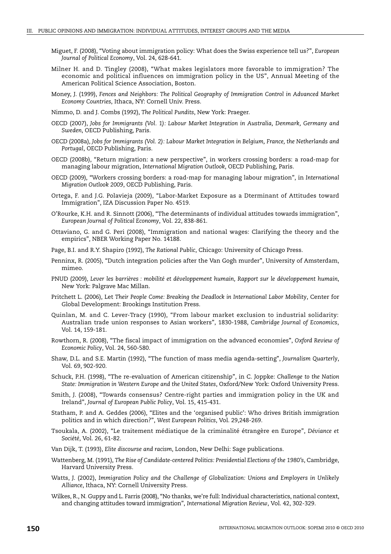- Miguet, F. (2008), "Voting about immigration policy: What does the Swiss experience tell us?", *European Journal of Political Economy*, Vol. 24, 628-641.
- Milner H. and D. Tingley (2008), "What makes legislators more favorable to immigration? The economic and political influences on immigration policy in the US", Annual Meeting of the American Political Science Association, Boston.
- Money, J. (1999), *Fences and Neighbors: The Political Geography of Immigration Control in Advanced Market Economy Countries*, Ithaca, NY: Cornell Univ. Press.
- Nimmo, D. and J. Combs (1992), *The Political Pundits*, New York: Praeger.
- OECD (2007), *Jobs for Immigrants (Vol. 1): Labour Market Integration in Australia, Denmark, Germany and Sweden*, OECD Publishing, Paris.
- OECD (2008a), *Jobs for Immigrants (Vol. 2): Labour Market Integration in Belgium, France, the Netherlands and Portugal*, OECD Publishing, Paris.
- OECD (2008b), "Return migration: a new perspective", in workers crossing borders: a road-map for managing labour migration, *International Migration Outlook*, OECD Publishing, Paris.
- OECD (2009), "Workers crossing borders: a road-map for managing labour migration", in *International Migration Outlook 2009*, OECD Publishing, Paris.
- Ortega, F. and J.G. Polavieja (2009), "Labor-Market Exposure as a Dterminant of Attitudes toward Immigration", IZA Discussion Paper No. 4519.
- O'Rourke, K.H. and R. Sinnott (2006), "The determinants of individual attitudes towards immigration", *European Journal of Political Economy*, Vol. 22, 838-861.
- Ottaviano, G. and G. Peri (2008), "Immigration and national wages: Clarifying the theory and the empirics", NBER Working Paper No. 14188.
- Page, B.I. and R.Y. Shapiro (1992), *The Rational Public*, Chicago: University of Chicago Press.
- Penninx, R. (2005), "Dutch integration policies after the Van Gogh murder", University of Amsterdam, mimeo.
- PNUD (2009), *Lever les barrières : mobilité et développement humain, Rapport sur le développement humain*, New York: Palgrave Mac Millan.
- Pritchett L. (2006), Let *Their People Come: Breaking the Deadlock in International Labor Mobility*, Center for Global Development: Brookings Institution Press.
- Quinlan, M. and C. Lever-Tracy (1990), "From labour market exclusion to industrial solidarity: Australian trade union responses to Asian workers", 1830-1988, *Cambridge Journal of Economics*, Vol. 14, 159-181.
- Rowthorn, R. (2008), "The fiscal impact of immigration on the advanced economies", *Oxford Review of Economic Policy*, Vol. 24, 560-580.
- Shaw, D.L. and S.E. Martin (1992), "The function of mass media agenda-setting", *Journalism Quarterly*, Vol. 69, 902-920.
- Schuck, P.H. (1998), "The re-evaluation of American citizenship", in C. Joppke: *Challenge to the Nation State: Immigration in Western Europe and the United States*, Oxford/New York: Oxford University Press.
- Smith, J. (2008), "Towards consensus? Centre-right parties and immigration policy in the UK and Ireland", *Journal of European Public Policy*, Vol. 15, 415-431.
- Statham, P. and A. Geddes (2006), "Elites and the 'organised public': Who drives British immigration politics and in which direction?", *West European Politics*, Vol. 29,248-269.
- Tsoukala, A. (2002), "Le traitement médiatique de la criminalité étrangère en Europe", *Déviance et Société*, Vol. 26, 61-82.
- Van Dijk, T. (1993), *Elite discourse and racism*, London, New Delhi: Sage publications.
- Wattenberg, M. (1991), *The Rise of Candidate-centered Politics: Presidential Elections of the 1980's*, Cambridge, Harvard University Press.
- Watts, J. (2002), *Immigration Policy and the Challenge of Globalization: Unions and Employers in Unlikely Alliance*, Ithaca, NY: Cornell University Press.
- Wilkes, R., N. Guppy and L. Farris (2008), "No thanks, we're full: Individual characteristics, national context, and changing attitudes toward immigration", *International Migration Review*, Vol. 42, 302-329.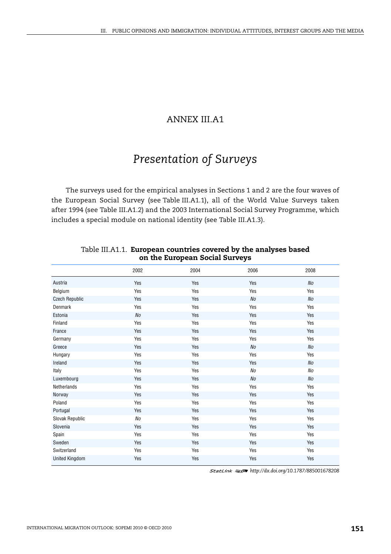# ANNEX III.A1

# *Presentation of Surveys*

The surveys used for the empirical analyses in Sections 1 and 2 are the four waves of the European Social Survey (see Table III.A1.1), all of the World Value Surveys taken after 1994 (see Table III.A1.2) and the 2003 International Social Survey Programme, which includes a special module on national identity (see Table III.A1.3).

|                       | 2002      | 2004 | 2006 | 2008 |
|-----------------------|-----------|------|------|------|
| Austria               | Yes       | Yes  | Yes  | No   |
| Belgium               | Yes       | Yes  | Yes  | Yes  |
| <b>Czech Republic</b> | Yes       | Yes  | No   | No   |
| Denmark               | Yes       | Yes  | Yes  | Yes  |
| Estonia               | <b>No</b> | Yes  | Yes  | Yes  |
| Finland               | Yes       | Yes  | Yes  | Yes  |
| France                | Yes       | Yes  | Yes  | Yes  |
| Germany               | Yes       | Yes  | Yes  | Yes  |
| Greece                | Yes       | Yes  | No   | No   |
| Hungary               | Yes       | Yes  | Yes  | Yes  |
| Ireland               | Yes       | Yes  | Yes  | No   |
| Italy                 | Yes       | Yes  | No   | No   |
| Luxembourg            | Yes       | Yes  | No   | No   |
| Netherlands           | Yes       | Yes  | Yes  | Yes  |
| Norway                | Yes       | Yes  | Yes  | Yes  |
| Poland                | Yes       | Yes  | Yes  | Yes  |
| Portugal              | Yes       | Yes  | Yes  | Yes  |
| Slovak Republic       | No        | Yes  | Yes  | Yes  |
| Slovenia              | Yes       | Yes  | Yes  | Yes  |
| Spain                 | Yes       | Yes  | Yes  | Yes  |
| Sweden                | Yes       | Yes  | Yes  | Yes  |
| Switzerland           | Yes       | Yes  | Yes  | Yes  |
| <b>United Kingdom</b> | Yes       | Yes  | Yes  | Yes  |

#### Table III.A1.1. **European countries covered by the analyses based on the European Social Surveys**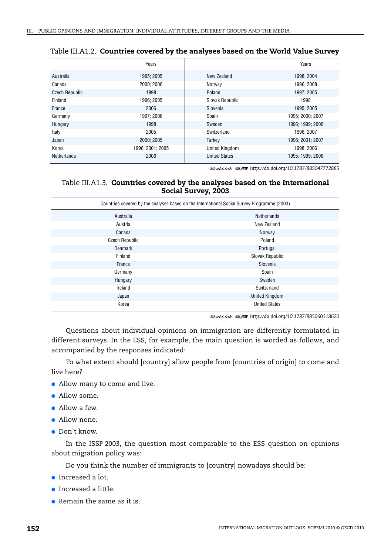|                       | Years            |                       | Years            |
|-----------------------|------------------|-----------------------|------------------|
| Australia             | 1995; 2005       | New Zealand           | 1998; 2004       |
| Canada                | 2000: 2006       | Norway                | 1996: 2008       |
| <b>Czech Republic</b> | 1998             | Poland                | 1997; 2005       |
| Finland               | 1996; 2005       | Slovak Republic       | 1998             |
| France                | 2006             | Slovenia              | 1995; 2005       |
| Germany               | 1997; 2006       | Spain                 | 1995; 2000; 2007 |
| Hungary               | 1998             | Sweden                | 1996: 1999: 2006 |
| Italy                 | 2005             | Switzerland           | 1996: 2007       |
| Japan                 | 2000; 2005       | Turkey                | 1996; 2001; 2007 |
| Korea                 | 1996; 2001; 2005 | <b>United Kingdom</b> | 1998: 2006       |
| Netherlands           | 2006             | <b>United States</b>  | 1995: 1999: 2006 |

#### Table III.A1.2. **Countries covered by the analyses based on the World Value Survey**

1 2 *<http://dx.doi.org/10.1787/885047772885>*

#### Table III.A1.3. **Countries covered by the analyses based on the International Social Survey, 2003**

| Countries covered by the analyses based on the International Social Survey Programme (2003) |                      |  |  |  |
|---------------------------------------------------------------------------------------------|----------------------|--|--|--|
| Australia                                                                                   | <b>Netherlands</b>   |  |  |  |
| Austria                                                                                     | New Zealand          |  |  |  |
| Canada                                                                                      | Norway               |  |  |  |
| <b>Czech Republic</b>                                                                       | Poland               |  |  |  |
| Denmark                                                                                     | Portugal             |  |  |  |
| Finland                                                                                     | Slovak Republic      |  |  |  |
| France                                                                                      | Slovenia             |  |  |  |
| Germany                                                                                     | Spain                |  |  |  |
| Hungary                                                                                     | Sweden               |  |  |  |
| Ireland                                                                                     | Switzerland          |  |  |  |
| Japan                                                                                       | United Kingdom       |  |  |  |
| Korea                                                                                       | <b>United States</b> |  |  |  |

1 2 *<http://dx.doi.org/10.1787/885060318620>*

Questions about individual opinions on immigration are differently formulated in different surveys. In the ESS, for example, the main question is worded as follows, and accompanied by the responses indicated:

To what extent should [country] allow people from [countries of origin] to come and live here?

- Allow many to come and live.
- Allow some.
- Allow a few.
- Allow none.
- Don't know.

In the ISSP 2003, the question most comparable to the ESS question on opinions about migration policy was:

Do you think the number of immigrants to [country] nowadays should be:

- Increased a lot.
- Increased a little.
- $\bullet$  Remain the same as it is.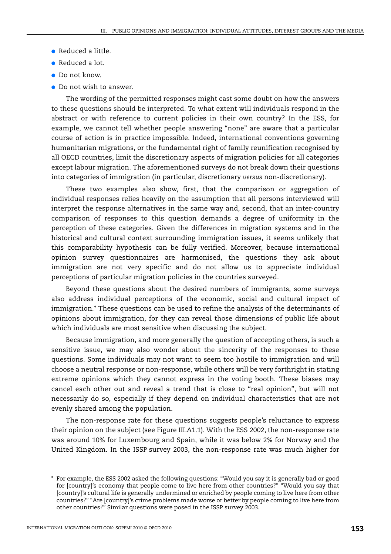- Reduced a little.
- Reduced a lot.
- Do not know.
- Do not wish to answer.

The wording of the permitted responses might cast some doubt on how the answers to these questions should be interpreted. To what extent will individuals respond in the abstract or with reference to current policies in their own country? In the ESS, for example, we cannot tell whether people answering "none" are aware that a particular course of action is in practice impossible. Indeed, international conventions governing humanitarian migrations, or the fundamental right of family reunification recognised by all OECD countries, limit the discretionary aspects of migration policies for all categories except labour migration. The aforementioned surveys do not break down their questions into categories of immigration (in particular, discretionary *versus* non-discretionary).

These two examples also show, first, that the comparison or aggregation of individual responses relies heavily on the assumption that all persons interviewed will interpret the response alternatives in the same way and, second, that an inter-country comparison of responses to this question demands a degree of uniformity in the perception of these categories. Given the differences in migration systems and in the historical and cultural context surrounding immigration issues, it seems unlikely that this comparability hypothesis can be fully verified. Moreover, because international opinion survey questionnaires are harmonised, the questions they ask about immigration are not very specific and do not allow us to appreciate individual perceptions of particular migration policies in the countries surveyed.

Beyond these questions about the desired numbers of immigrants, some surveys also address individual perceptions of the economic, social and cultural impact of immigration.\* These questions can be used to refine the analysis of the determinants of opinions about immigration, for they can reveal those dimensions of public life about which individuals are most sensitive when discussing the subject.

Because immigration, and more generally the question of accepting others, is such a sensitive issue, we may also wonder about the sincerity of the responses to these questions. Some individuals may not want to seem too hostile to immigration and will choose a neutral response or non-response, while others will be very forthright in stating extreme opinions which they cannot express in the voting booth. These biases may cancel each other out and reveal a trend that is close to "real opinion", but will not necessarily do so, especially if they depend on individual characteristics that are not evenly shared among the population.

The non-response rate for these questions suggests people's reluctance to express their opinion on the subject (see Figure III.A1.1). With the ESS 2002, the non-response rate was around 10% for Luxembourg and Spain, while it was below 2% for Norway and the United Kingdom. In the ISSP survey 2003, the non-response rate was much higher for

<sup>\*</sup> For example, the ESS 2002 asked the following questions: "Would you say it is generally bad or good for [country]'s economy that people come to live here from other countries?" "Would you say that [country]'s cultural life is generally undermined or enriched by people coming to live here from other countries?" "Are [country]'s crime problems made worse or better by people coming to live here from other countries?" Similar questions were posed in the ISSP survey 2003.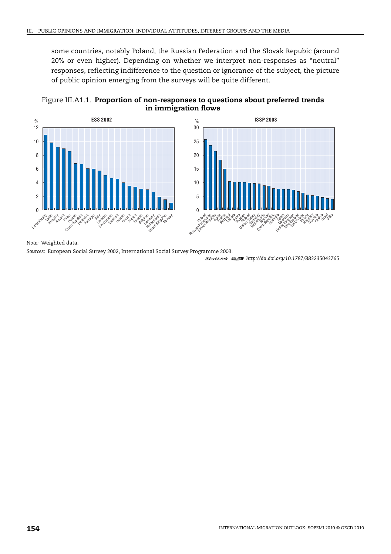some countries, notably Poland, the Russian Federation and the Slovak Repubic (around 20% or even higher). Depending on whether we interpret non-responses as "neutral" responses, reflecting indifference to the question or ignorance of the subject, the picture of public opinion emerging from the surveys will be quite different.





*Note:* Weighted data.

*Sources:* European Social Survey 2002, International Social Survey Programme 2003.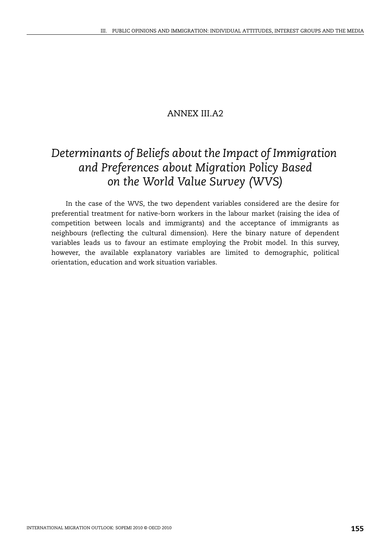# ANNEX III.A2

# *Determinants of Beliefs about the Impact of Immigration and Preferences about Migration Policy Based on the World Value Survey (WVS)*

In the case of the WVS, the two dependent variables considered are the desire for preferential treatment for native-born workers in the labour market (raising the idea of competition between locals and immigrants) and the acceptance of immigrants as neighbours (reflecting the cultural dimension). Here the binary nature of dependent variables leads us to favour an estimate employing the Probit model. In this survey, however, the available explanatory variables are limited to demographic, political orientation, education and work situation variables.